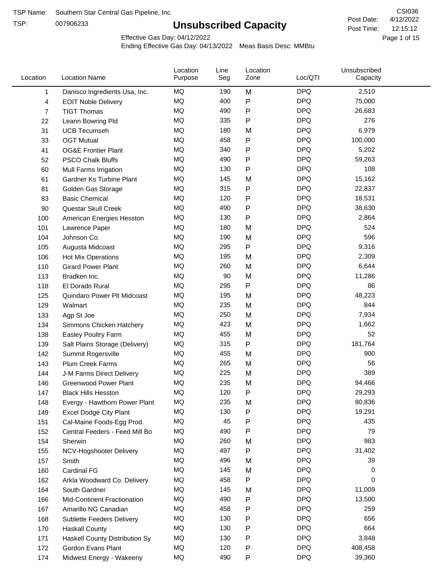TSP:

# **Unsubscribed Capacity**

4/12/2022 Page 1 of 15 12:15:12 CSI036 Post Date: Post Time:

Effective Gas Day: 04/12/2022

| Location |     | <b>Location Name</b>               | Location<br>Purpose | Line<br>Seg | Location<br>Zone | Loc/QTI    | Unsubscribed<br>Capacity |  |
|----------|-----|------------------------------------|---------------------|-------------|------------------|------------|--------------------------|--|
|          | 1   | Danisco Ingredients Usa, Inc.      | MQ                  | 190         | M                | <b>DPQ</b> | 2,510                    |  |
|          | 4   | <b>EOIT Noble Delivery</b>         | MQ                  | 400         | P                | <b>DPQ</b> | 75,000                   |  |
|          | 7   | <b>TIGT Thomas</b>                 | MQ                  | 490         | P                | <b>DPQ</b> | 26,683                   |  |
|          | 22  | Leann Bowring Pld                  | MQ                  | 335         | P                | <b>DPQ</b> | 276                      |  |
|          | 31  | <b>UCB Tecumseh</b>                | MQ                  | 180         | M                | <b>DPQ</b> | 6,979                    |  |
|          | 33  | <b>OGT Mutual</b>                  | MQ                  | 458         | P                | <b>DPQ</b> | 100,000                  |  |
|          | 41  | <b>OG&amp;E Frontier Plant</b>     | MQ                  | 340         | P                | <b>DPQ</b> | 5,202                    |  |
|          | 52  | <b>PSCO Chalk Bluffs</b>           | MQ                  | 490         | P                | <b>DPQ</b> | 59,263                   |  |
|          | 60  | Mull Farms Irrigation              | MQ                  | 130         | Ρ                | <b>DPQ</b> | 108                      |  |
|          | 61  | Gardner Ks Turbine Plant           | MQ                  | 145         | M                | <b>DPQ</b> | 15,162                   |  |
|          | 81  | Golden Gas Storage                 | MQ                  | 315         | Ρ                | <b>DPQ</b> | 22,837                   |  |
|          | 83  | <b>Basic Chemical</b>              | MQ                  | 120         | P                | <b>DPQ</b> | 18,531                   |  |
|          | 90  | Questar Skull Creek                | MQ                  | 490         | Ρ                | <b>DPQ</b> | 38,630                   |  |
|          | 100 | American Energies Hesston          | MQ                  | 130         | P                | <b>DPQ</b> | 2,864                    |  |
|          | 101 | Lawrence Paper                     | MQ                  | 180         | M                | <b>DPQ</b> | 524                      |  |
|          | 104 | Johnson Co.                        | MQ                  | 190         | M                | <b>DPQ</b> | 596                      |  |
|          | 105 | Augusta Midcoast                   | MQ                  | 295         | P                | <b>DPQ</b> | 9,316                    |  |
|          | 106 | Hot Mix Operations                 | MQ                  | 195         | M                | <b>DPQ</b> | 2,309                    |  |
|          | 110 | <b>Girard Power Plant</b>          | MQ                  | 260         | M                | <b>DPQ</b> | 6,644                    |  |
|          | 113 | Bradken Inc.                       | MQ                  | 90          | M                | <b>DPQ</b> | 11,286                   |  |
|          | 118 | El Dorado Rural                    | MQ                  | 295         | P                | <b>DPQ</b> | 86                       |  |
|          | 125 | Quindaro Power Plt Midcoast        | MQ                  | 195         | M                | <b>DPQ</b> | 48,223                   |  |
|          | 129 | Walmart                            | MQ                  | 235         | M                | <b>DPQ</b> | 844                      |  |
|          | 133 | Agp St Joe                         | MQ                  | 250         | M                | <b>DPQ</b> | 7,934                    |  |
|          | 134 | Simmons Chicken Hatchery           | MQ                  | 423         | M                | <b>DPQ</b> | 1,662                    |  |
|          | 138 | Easley Poultry Farm                | MQ                  | 455         | M                | <b>DPQ</b> | 52                       |  |
|          | 139 | Salt Plains Storage (Delivery)     | MQ                  | 315         | P                | <b>DPQ</b> | 181,764                  |  |
|          | 142 | Summit Rogersville                 | MQ                  | 455         | M                | <b>DPQ</b> | 900                      |  |
|          | 143 | <b>Plum Creek Farms</b>            | MQ                  | 265         | M                | <b>DPQ</b> | 56                       |  |
|          | 144 | J-M Farms Direct Delivery          | MQ                  | 225         | M                | <b>DPQ</b> | 389                      |  |
|          | 146 | <b>Greenwood Power Plant</b>       | <b>MQ</b>           | 235         | M                | <b>DPQ</b> | 94,466                   |  |
|          | 147 | <b>Black Hills Hesston</b>         | MQ                  | 120         | Ρ                | <b>DPQ</b> | 29,293                   |  |
|          | 148 | Evergy - Hawthorn Power Plant      | MQ                  | 235         | M                | <b>DPQ</b> | 80,836                   |  |
|          | 149 | <b>Excel Dodge City Plant</b>      | MQ                  | 130         | Ρ                | <b>DPQ</b> | 19,291                   |  |
|          | 151 | Cal-Maine Foods-Egg Prod.          | MQ                  | 45          | Ρ                | <b>DPQ</b> | 435                      |  |
|          | 152 | Central Feeders - Feed Mill Bo     | MQ                  | 490         | Ρ                | <b>DPQ</b> | 79                       |  |
|          | 154 | Sherwin                            | MQ                  | 260         | M                | <b>DPQ</b> | 983                      |  |
|          | 155 | NCV-Hogshooter Delivery            | MQ                  | 497         | Ρ                | <b>DPQ</b> | 31,402                   |  |
|          | 157 | Smith                              | MQ                  | 496         | M                | <b>DPQ</b> | 39                       |  |
|          | 160 | Cardinal FG                        | MQ                  | 145         | M                | <b>DPQ</b> | 0                        |  |
|          | 162 | Arkla Woodward Co. Delivery        | MQ                  | 458         | Ρ                | <b>DPQ</b> | 0                        |  |
|          | 164 | South Gardner                      | MQ                  | 145         | M                | <b>DPQ</b> | 11,009                   |  |
|          | 166 | <b>Mid-Continent Fractionation</b> | MQ                  | 490         | Ρ                | <b>DPQ</b> | 13,500                   |  |
|          | 167 | Amarillo NG Canadian               | MQ                  | 458         | Ρ                | <b>DPQ</b> | 259                      |  |
|          | 168 | Sublette Feeders Delivery          | MQ                  | 130         | Ρ                | <b>DPQ</b> | 656                      |  |
|          | 170 | <b>Haskall County</b>              | MQ                  | 130         | Ρ                | <b>DPQ</b> | 664                      |  |
|          | 171 | Haskell County Distribution Sy     | MQ                  | 130         | Ρ                | <b>DPQ</b> | 3,848                    |  |
|          | 172 | Gordon Evans Plant                 | MQ                  | 120         | Ρ                | <b>DPQ</b> | 408,458                  |  |
|          | 174 | Midwest Energy - Wakeeny           | MQ                  | 490         | P                | <b>DPQ</b> | 39,360                   |  |
|          |     |                                    |                     |             |                  |            |                          |  |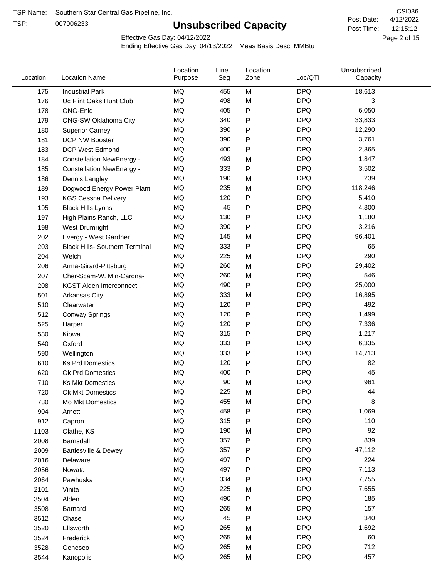TSP:

# **Unsubscribed Capacity**

4/12/2022 Page 2 of 15 12:15:12 CSI036 Post Date: Post Time:

Effective Gas Day: 04/12/2022

| Location | <b>Location Name</b>                  | Location<br>Purpose | Line<br>Seg | Location<br>Zone | Loc/QTI    | Unsubscribed<br>Capacity |  |
|----------|---------------------------------------|---------------------|-------------|------------------|------------|--------------------------|--|
| 175      | <b>Industrial Park</b>                | <b>MQ</b>           | 455         | M                | <b>DPQ</b> | 18,613                   |  |
| 176      | Uc Flint Oaks Hunt Club               | MQ                  | 498         | M                | <b>DPQ</b> | 3                        |  |
| 178      | ONG-Enid                              | MQ                  | 405         | P                | <b>DPQ</b> | 6,050                    |  |
| 179      | ONG-SW Oklahoma City                  | <b>MQ</b>           | 340         | P                | <b>DPQ</b> | 33,833                   |  |
| 180      | <b>Superior Carney</b>                | <b>MQ</b>           | 390         | Ρ                | <b>DPQ</b> | 12,290                   |  |
| 181      | DCP NW Booster                        | MQ                  | 390         | P                | <b>DPQ</b> | 3,761                    |  |
| 183      | <b>DCP West Edmond</b>                | MQ                  | 400         | P                | <b>DPQ</b> | 2,865                    |  |
| 184      | <b>Constellation NewEnergy -</b>      | <b>MQ</b>           | 493         | M                | <b>DPQ</b> | 1,847                    |  |
| 185      | <b>Constellation NewEnergy -</b>      | MQ                  | 333         | P                | <b>DPQ</b> | 3,502                    |  |
| 186      | Dennis Langley                        | MQ                  | 190         | M                | <b>DPQ</b> | 239                      |  |
| 189      | Dogwood Energy Power Plant            | <b>MQ</b>           | 235         | M                | <b>DPQ</b> | 118,246                  |  |
| 193      | <b>KGS Cessna Delivery</b>            | MQ                  | 120         | P                | <b>DPQ</b> | 5,410                    |  |
| 195      | <b>Black Hills Lyons</b>              | <b>MQ</b>           | 45          | P                | <b>DPQ</b> | 4,300                    |  |
| 197      | High Plains Ranch, LLC                | <b>MQ</b>           | 130         | Ρ                | <b>DPQ</b> | 1,180                    |  |
| 198      | West Drumright                        | <b>MQ</b>           | 390         | P                | <b>DPQ</b> | 3,216                    |  |
| 202      | Evergy - West Gardner                 | <b>MQ</b>           | 145         | M                | <b>DPQ</b> | 96,401                   |  |
| 203      | <b>Black Hills- Southern Terminal</b> | MQ                  | 333         | P                | <b>DPQ</b> | 65                       |  |
| 204      | Welch                                 | MQ                  | 225         | M                | <b>DPQ</b> | 290                      |  |
| 206      | Arma-Girard-Pittsburg                 | <b>MQ</b>           | 260         | M                | <b>DPQ</b> | 29,402                   |  |
| 207      | Cher-Scam-W. Min-Carona-              | MQ                  | 260         | M                | <b>DPQ</b> | 546                      |  |
| 208      | <b>KGST Alden Interconnect</b>        | <b>MQ</b>           | 490         | P                | <b>DPQ</b> | 25,000                   |  |
| 501      | <b>Arkansas City</b>                  | <b>MQ</b>           | 333         | M                | <b>DPQ</b> | 16,895                   |  |
| 510      | Clearwater                            | <b>MQ</b>           | 120         | Ρ                | <b>DPQ</b> | 492                      |  |
| 512      | <b>Conway Springs</b>                 | <b>MQ</b>           | 120         | P                | <b>DPQ</b> | 1,499                    |  |
| 525      | Harper                                | <b>MQ</b>           | 120         | P                | <b>DPQ</b> | 7,336                    |  |
| 530      | Kiowa                                 | <b>MQ</b>           | 315         | P                | <b>DPQ</b> | 1,217                    |  |
| 540      | Oxford                                | <b>MQ</b>           | 333         | Ρ                | <b>DPQ</b> | 6,335                    |  |
| 590      | Wellington                            | MQ                  | 333         | Ρ                | <b>DPQ</b> | 14,713                   |  |
| 610      | <b>Ks Prd Domestics</b>               | <b>MQ</b>           | 120         | P                | <b>DPQ</b> | 82                       |  |
| 620      | Ok Prd Domestics                      | <b>MQ</b>           | 400         | P                | <b>DPQ</b> | 45                       |  |
| 710      | <b>Ks Mkt Domestics</b>               | <b>MQ</b>           | 90          | M                | <b>DPQ</b> | 961                      |  |
| 720      | <b>Ok Mkt Domestics</b>               | MQ                  | 225         | M                | <b>DPQ</b> | 44                       |  |
| 730      | Mo Mkt Domestics                      | MQ                  | 455         | M                | <b>DPQ</b> | 8                        |  |
| 904      | Arnett                                | MQ                  | 458         | P                | <b>DPQ</b> | 1,069                    |  |
| 912      | Capron                                | $\sf{MQ}$           | 315         | Ρ                | <b>DPQ</b> | 110                      |  |
| 1103     | Olathe, KS                            | $\sf{MQ}$           | 190         | M                | <b>DPQ</b> | 92                       |  |
| 2008     | Barnsdall                             | MQ                  | 357         | P                | <b>DPQ</b> | 839                      |  |
| 2009     | <b>Bartlesville &amp; Dewey</b>       | MQ                  | 357         | P                | <b>DPQ</b> | 47,112                   |  |
| 2016     | Delaware                              | MQ                  | 497         | Ρ                | <b>DPQ</b> | 224                      |  |
| 2056     | Nowata                                | $\sf{MQ}$           | 497         | Ρ                | <b>DPQ</b> | 7,113                    |  |
| 2064     | Pawhuska                              | $\sf{MQ}$           | 334         | Ρ                | <b>DPQ</b> | 7,755                    |  |
| 2101     | Vinita                                | MQ                  | 225         | M                | <b>DPQ</b> | 7,655                    |  |
| 3504     | Alden                                 | MQ                  | 490         | P                | <b>DPQ</b> | 185                      |  |
| 3508     | Barnard                               | MQ                  | 265         | M                | <b>DPQ</b> | 157                      |  |
| 3512     | Chase                                 | $\sf{MQ}$           | 45          | Ρ                | <b>DPQ</b> | 340                      |  |
| 3520     | Ellsworth                             | MQ                  | 265         | M                | <b>DPQ</b> | 1,692                    |  |
| 3524     | Frederick                             | MQ                  | 265         | M                | <b>DPQ</b> | 60                       |  |
| 3528     | Geneseo                               | MQ                  | 265         | M                | <b>DPQ</b> | 712                      |  |
| 3544     | Kanopolis                             | $\sf{MQ}$           | 265         | M                | <b>DPQ</b> | 457                      |  |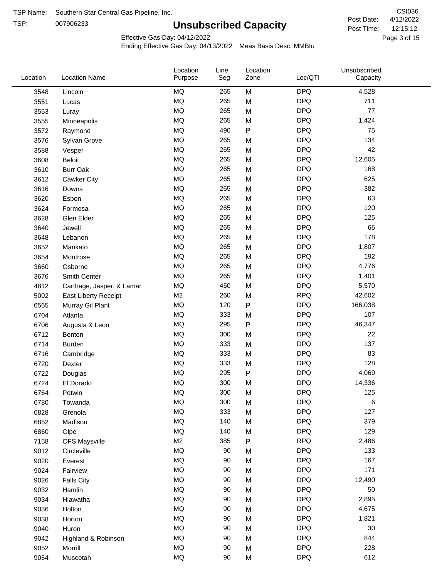TSP: 

# **Unsubscribed Capacity**

4/12/2022 Page 3 of 15 12:15:12 CSI036 Post Date: Post Time:

Effective Gas Day: 04/12/2022

| Location | <b>Location Name</b>      | Location<br>Purpose | Line<br>Seg | Location<br>Zone | Loc/QTI    | Unsubscribed<br>Capacity |  |
|----------|---------------------------|---------------------|-------------|------------------|------------|--------------------------|--|
| 3548     | Lincoln                   | <b>MQ</b>           | 265         | M                | <b>DPQ</b> | 4,528                    |  |
| 3551     | Lucas                     | MQ                  | 265         | M                | <b>DPQ</b> | 711                      |  |
| 3553     | Luray                     | <b>MQ</b>           | 265         | M                | <b>DPQ</b> | 77                       |  |
| 3555     | Minneapolis               | <b>MQ</b>           | 265         | M                | <b>DPQ</b> | 1,424                    |  |
| 3572     | Raymond                   | <b>MQ</b>           | 490         | $\mathsf{P}$     | <b>DPQ</b> | 75                       |  |
| 3576     | Sylvan Grove              | <b>MQ</b>           | 265         | M                | <b>DPQ</b> | 134                      |  |
| 3588     | Vesper                    | <b>MQ</b>           | 265         | M                | <b>DPQ</b> | 42                       |  |
| 3608     | <b>Beloit</b>             | MQ                  | 265         | M                | <b>DPQ</b> | 12,605                   |  |
| 3610     | <b>Burr Oak</b>           | <b>MQ</b>           | 265         | M                | <b>DPQ</b> | 168                      |  |
| 3612     | Cawker City               | <b>MQ</b>           | 265         | M                | <b>DPQ</b> | 625                      |  |
| 3616     | Downs                     | <b>MQ</b>           | 265         | M                | <b>DPQ</b> | 382                      |  |
| 3620     | Esbon                     | <b>MQ</b>           | 265         | M                | <b>DPQ</b> | 63                       |  |
| 3624     | Formosa                   | <b>MQ</b>           | 265         | M                | <b>DPQ</b> | 120                      |  |
| 3628     | Glen Elder                | <b>MQ</b>           | 265         | M                | <b>DPQ</b> | 125                      |  |
| 3640     | Jewell                    | <b>MQ</b>           | 265         | M                | <b>DPQ</b> | 66                       |  |
| 3648     | Lebanon                   | MQ                  | 265         | M                | <b>DPQ</b> | 178                      |  |
| 3652     | Mankato                   | MQ                  | 265         | M                | <b>DPQ</b> | 1,807                    |  |
| 3654     | Montrose                  | MQ                  | 265         | M                | <b>DPQ</b> | 192                      |  |
| 3660     | Osborne                   | MQ                  | 265         | M                | <b>DPQ</b> | 4,776                    |  |
| 3676     | Smith Center              | MQ                  | 265         | M                | <b>DPQ</b> | 1,401                    |  |
| 4812     | Carthage, Jasper, & Lamar | MQ                  | 450         | M                | <b>DPQ</b> | 5,570                    |  |
| 5002     | East Liberty Receipt      | M <sub>2</sub>      | 260         | M                | <b>RPQ</b> | 42,602                   |  |
| 6565     | Murray Gil Plant          | MQ                  | 120         | $\mathsf{P}$     | <b>DPQ</b> | 166,038                  |  |
| 6704     | Atlanta                   | <b>MQ</b>           | 333         | M                | <b>DPQ</b> | 107                      |  |
| 6706     | Augusta & Leon            | MQ                  | 295         | ${\sf P}$        | <b>DPQ</b> | 46,347                   |  |
| 6712     | Benton                    | MQ                  | 300         | M                | <b>DPQ</b> | 22                       |  |
| 6714     | <b>Burden</b>             | MQ                  | 333         | M                | <b>DPQ</b> | 137                      |  |
| 6716     | Cambridge                 | MQ                  | 333         | M                | <b>DPQ</b> | 83                       |  |
| 6720     | Dexter                    | MQ                  | 333         | M                | <b>DPQ</b> | 128                      |  |
| 6722     | Douglas                   | <b>MQ</b>           | 295         | ${\sf P}$        | <b>DPQ</b> | 4,069                    |  |
| 6724     | El Dorado                 | <b>MQ</b>           | 300         | M                | <b>DPQ</b> | 14,336                   |  |
| 6764     | Potwin                    | <b>MQ</b>           | 300         | M                | <b>DPQ</b> | 125                      |  |
| 6780     | Towanda                   | MQ                  | 300         | M                | <b>DPQ</b> | 6                        |  |
| 6828     | Grenola                   | MQ                  | 333         | M                | <b>DPQ</b> | 127                      |  |
| 6852     | Madison                   | MQ                  | 140         | M                | <b>DPQ</b> | 379                      |  |
| 6860     | Olpe                      | MQ                  | 140         | M                | <b>DPQ</b> | 129                      |  |
| 7158     | <b>OFS Maysville</b>      | M <sub>2</sub>      | 385         | ${\sf P}$        | <b>RPQ</b> | 2,486                    |  |
| 9012     | Circleville               | MQ                  | 90          | M                | <b>DPQ</b> | 133                      |  |
| 9020     | Everest                   | $\sf{MQ}$           | 90          | M                | <b>DPQ</b> | 167                      |  |
| 9024     | Fairview                  | MQ                  | 90          | M                | <b>DPQ</b> | 171                      |  |
| 9026     | <b>Falls City</b>         | MQ                  | 90          | M                | <b>DPQ</b> | 12,490                   |  |
| 9032     | Hamlin                    | MQ                  | 90          | M                | <b>DPQ</b> | 50                       |  |
| 9034     | Hiawatha                  | MQ                  | 90          | M                | <b>DPQ</b> | 2,895                    |  |
| 9036     | Holton                    | MQ                  | 90          | M                | <b>DPQ</b> | 4,675                    |  |
| 9038     | Horton                    | MQ                  | 90          | M                | <b>DPQ</b> | 1,821                    |  |
| 9040     | Huron                     | MQ                  | 90          | M                | <b>DPQ</b> | 30                       |  |
| 9042     | Highland & Robinson       | MQ                  | 90          | M                | <b>DPQ</b> | 844                      |  |
| 9052     | Morrill                   | $\sf{MQ}$           | 90          | M                | <b>DPQ</b> | 228                      |  |
| 9054     | Muscotah                  | $\sf{MQ}$           | 90          | M                | <b>DPQ</b> | 612                      |  |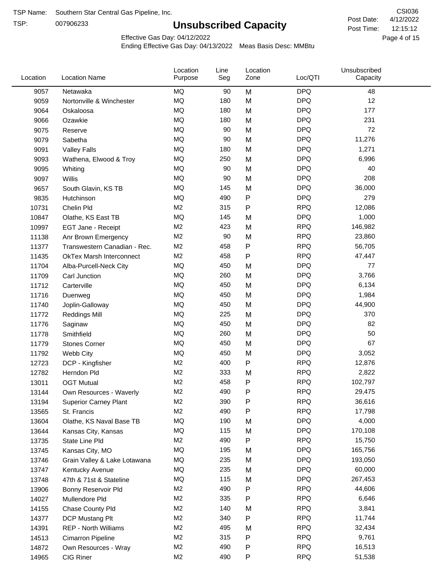TSP:

# **Unsubscribed Capacity**

4/12/2022 Page 4 of 15 12:15:12 CSI036 Post Date: Post Time:

Effective Gas Day: 04/12/2022

| Location | <b>Location Name</b>            | Location<br>Purpose | Line<br>Seg | Location<br>Zone | Loc/QTI    | Unsubscribed<br>Capacity |  |
|----------|---------------------------------|---------------------|-------------|------------------|------------|--------------------------|--|
| 9057     | Netawaka                        | <b>MQ</b>           | 90          | M                | <b>DPQ</b> | 48                       |  |
| 9059     | Nortonville & Winchester        | MQ                  | 180         | M                | <b>DPQ</b> | 12                       |  |
| 9064     | Oskaloosa                       | <b>MQ</b>           | 180         | M                | <b>DPQ</b> | 177                      |  |
| 9066     | Ozawkie                         | <b>MQ</b>           | 180         | M                | <b>DPQ</b> | 231                      |  |
| 9075     | Reserve                         | <b>MQ</b>           | 90          | M                | <b>DPQ</b> | 72                       |  |
| 9079     | Sabetha                         | <b>MQ</b>           | 90          | M                | <b>DPQ</b> | 11,276                   |  |
| 9091     | <b>Valley Falls</b>             | MQ                  | 180         | M                | <b>DPQ</b> | 1,271                    |  |
| 9093     | Wathena, Elwood & Troy          | MQ                  | 250         | M                | <b>DPQ</b> | 6,996                    |  |
| 9095     | Whiting                         | <b>MQ</b>           | 90          | M                | <b>DPQ</b> | 40                       |  |
| 9097     | Willis                          | <b>MQ</b>           | 90          | M                | <b>DPQ</b> | 208                      |  |
| 9657     | South Glavin, KS TB             | MQ                  | 145         | M                | <b>DPQ</b> | 36,000                   |  |
| 9835     | Hutchinson                      | <b>MQ</b>           | 490         | ${\sf P}$        | <b>DPQ</b> | 279                      |  |
| 10731    | Chelin Pld                      | M <sub>2</sub>      | 315         | P                | <b>RPQ</b> | 12,086                   |  |
| 10847    | Olathe, KS East TB              | <b>MQ</b>           | 145         | M                | <b>DPQ</b> | 1,000                    |  |
| 10997    | EGT Jane - Receipt              | M <sub>2</sub>      | 423         | M                | <b>RPQ</b> | 146,982                  |  |
| 11138    | Anr Brown Emergency             | M <sub>2</sub>      | 90          | M                | <b>RPQ</b> | 23,860                   |  |
| 11377    | Transwestern Canadian - Rec.    | M <sub>2</sub>      | 458         | $\mathsf{P}$     | <b>RPQ</b> | 56,705                   |  |
| 11435    | <b>OkTex Marsh Interconnect</b> | M <sub>2</sub>      | 458         | P                | <b>RPQ</b> | 47,447                   |  |
| 11704    | Alba-Purcell-Neck City          | <b>MQ</b>           | 450         | M                | <b>DPQ</b> | 77                       |  |
| 11709    | Carl Junction                   | <b>MQ</b>           | 260         | M                | <b>DPQ</b> | 3,766                    |  |
| 11712    | Carterville                     | MQ                  | 450         | M                | <b>DPQ</b> | 6,134                    |  |
| 11716    | Duenweg                         | <b>MQ</b>           | 450         | M                | <b>DPQ</b> | 1,984                    |  |
| 11740    | Joplin-Galloway                 | <b>MQ</b>           | 450         | M                | <b>DPQ</b> | 44,900                   |  |
| 11772    | <b>Reddings Mill</b>            | <b>MQ</b>           | 225         | M                | <b>DPQ</b> | 370                      |  |
| 11776    | Saginaw                         | <b>MQ</b>           | 450         | M                | <b>DPQ</b> | 82                       |  |
| 11778    | Smithfield                      | <b>MQ</b>           | 260         | M                | <b>DPQ</b> | 50                       |  |
| 11779    | <b>Stones Corner</b>            | <b>MQ</b>           | 450         | M                | <b>DPQ</b> | 67                       |  |
| 11792    | Webb City                       | <b>MQ</b>           | 450         | M                | <b>DPQ</b> | 3,052                    |  |
| 12723    | DCP - Kingfisher                | M <sub>2</sub>      | 400         | ${\sf P}$        | <b>RPQ</b> | 12,876                   |  |
| 12782    | Herndon Pld                     | M <sub>2</sub>      | 333         | M                | <b>RPQ</b> | 2,822                    |  |
| 13011    | <b>OGT Mutual</b>               | M <sub>2</sub>      | 458         | P                | <b>RPQ</b> | 102,797                  |  |
| 13144    | Own Resources - Waverly         | M <sub>2</sub>      | 490         | P                | <b>RPQ</b> | 29,475                   |  |
| 13194    | <b>Superior Carney Plant</b>    | M <sub>2</sub>      | 390         | P                | <b>RPQ</b> | 36,616                   |  |
| 13565    | St. Francis                     | M <sub>2</sub>      | 490         | P                | <b>RPQ</b> | 17,798                   |  |
| 13604    | Olathe, KS Naval Base TB        | MQ                  | 190         | M                | <b>DPQ</b> | 4,000                    |  |
| 13644    | Kansas City, Kansas             | MQ                  | 115         | M                | <b>DPQ</b> | 170,108                  |  |
| 13735    | State Line Pld                  | M <sub>2</sub>      | 490         | ${\sf P}$        | <b>RPQ</b> | 15,750                   |  |
| 13745    | Kansas City, MO                 | MQ                  | 195         | M                | <b>DPQ</b> | 165,756                  |  |
| 13746    | Grain Valley & Lake Lotawana    | MQ                  | 235         | M                | <b>DPQ</b> | 193,050                  |  |
| 13747    | Kentucky Avenue                 | MQ                  | 235         | M                | <b>DPQ</b> | 60,000                   |  |
| 13748    | 47th & 71st & Stateline         | MQ                  | 115         | M                | <b>DPQ</b> | 267,453                  |  |
| 13906    | Bonny Reservoir Pld             | M <sub>2</sub>      | 490         | ${\sf P}$        | <b>RPQ</b> | 44,606                   |  |
| 14027    | Mullendore Pld                  | M <sub>2</sub>      | 335         | P                | <b>RPQ</b> | 6,646                    |  |
| 14155    | Chase County Pld                | M <sub>2</sub>      | 140         | M                | <b>RPQ</b> | 3,841                    |  |
| 14377    | DCP Mustang Plt                 | M <sub>2</sub>      | 340         | P                | <b>RPQ</b> | 11,744                   |  |
| 14391    | <b>REP - North Williams</b>     | M <sub>2</sub>      | 495         | M                | <b>RPQ</b> | 32,434                   |  |
| 14513    | Cimarron Pipeline               | M <sub>2</sub>      | 315         | ${\sf P}$        | <b>RPQ</b> | 9,761                    |  |
| 14872    | Own Resources - Wray            | M <sub>2</sub>      | 490         | P                | <b>RPQ</b> | 16,513                   |  |
| 14965    | CIG Riner                       | M <sub>2</sub>      | 490         | P                | <b>RPQ</b> | 51,538                   |  |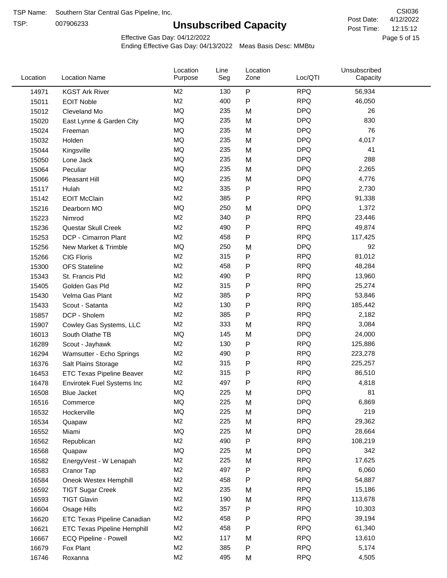TSP:

# **Unsubscribed Capacity**

4/12/2022 Page 5 of 15 12:15:12 CSI036 Post Date: Post Time:

Effective Gas Day: 04/12/2022

| P<br><b>RPQ</b><br>M2<br>130<br>56,934<br>14971<br><b>KGST Ark River</b><br>M <sub>2</sub><br>400<br>P<br><b>RPQ</b><br>46,050<br>15011<br><b>EOIT Noble</b><br><b>MQ</b><br><b>DPQ</b><br>235<br>M<br>26<br>15012<br>Cleveland Mo<br>MQ<br><b>DPQ</b><br>235<br>830<br>15020<br>M<br>East Lynne & Garden City<br><b>MQ</b><br><b>DPQ</b><br>76<br>235<br>M<br>15024<br>Freeman<br><b>MQ</b><br><b>DPQ</b><br>235<br>4,017<br>M<br>15032<br>Holden<br>MQ<br>235<br><b>DPQ</b><br>41<br>M<br>15044<br>Kingsville<br>MQ<br>288<br>235<br><b>DPQ</b><br>15050<br>Lone Jack<br>M<br><b>MQ</b><br>235<br><b>DPQ</b><br>15064<br>Peculiar<br>M<br>2,265<br><b>MQ</b><br><b>DPQ</b><br>235<br>M<br>4,776<br>15066<br>Pleasant Hill<br>M2<br>335<br>P<br><b>RPQ</b><br>2,730<br>15117<br>Hulah<br>M2<br>P<br><b>RPQ</b><br>385<br>91,338<br><b>EOIT McClain</b><br>15142<br>MQ<br>250<br><b>DPQ</b><br>1,372<br>15216<br>Dearborn MO<br>M<br>M <sub>2</sub><br>P<br><b>RPQ</b><br>340<br>23,446<br>15223<br>Nimrod<br>M <sub>2</sub><br><b>RPQ</b><br>P<br>49,874<br>490<br>15236<br>Questar Skull Creek<br><b>RPQ</b><br>M2<br>458<br>P<br>DCP - Cimarron Plant<br>117,425<br>15253<br><b>MQ</b><br><b>DPQ</b><br>250<br>92<br>15256<br>New Market & Trimble<br>M<br>M <sub>2</sub><br>P<br><b>RPQ</b><br>315<br>81,012<br><b>CIG Floris</b><br>15266<br>M <sub>2</sub><br><b>RPQ</b><br>458<br>P<br>48,284<br>15300<br><b>OFS</b> Stateline<br>P<br><b>RPQ</b><br>M2<br>490<br>13,960<br>15343<br>St. Francis Pld<br>M <sub>2</sub><br>315<br>P<br><b>RPQ</b><br>25,274<br>Golden Gas Pld<br>15405<br>P<br>M2<br>385<br><b>RPQ</b><br>53,846<br>15430<br>Velma Gas Plant<br>M <sub>2</sub><br><b>RPQ</b><br>130<br>P<br>Scout - Satanta<br>185,442<br>15433<br>M <sub>2</sub><br>P<br><b>RPQ</b><br>385<br>2,182<br>15857<br>DCP - Sholem<br><b>RPQ</b><br>M2<br>333<br>M<br>3,084<br>15907<br>Cowley Gas Systems, LLC<br><b>DPQ</b><br>MQ<br>145<br>24,000<br>M<br>16013<br>South Olathe TB<br>P<br><b>RPQ</b><br>M2<br>130<br>125,886<br>16289<br>Scout - Jayhawk<br><b>RPQ</b><br>M <sub>2</sub><br>490<br>P<br>223,278<br>16294<br>Wamsutter - Echo Springs<br>P<br>M <sub>2</sub><br>315<br><b>RPQ</b><br>225,257<br>16376<br>Salt Plains Storage<br>M <sub>2</sub><br>P<br><b>RPQ</b><br>86,510<br>315<br>16453<br><b>ETC Texas Pipeline Beaver</b><br>M <sub>2</sub><br>P<br><b>RPQ</b><br>497<br>16478<br>4,818<br>Envirotek Fuel Systems Inc<br><b>MQ</b><br>225<br><b>DPQ</b><br>81<br>16508<br>M<br><b>Blue Jacket</b><br>MQ<br>225<br><b>DPQ</b><br>6,869<br>M<br>16516<br>Commerce<br><b>DPQ</b><br>219<br>MQ<br>225<br>M<br>16532<br>Hockerville<br>M2<br>225<br>M<br><b>RPQ</b><br>29,362<br>16534<br>Quapaw<br>MQ<br>225<br><b>DPQ</b><br>28,664<br>16552<br>Miami<br>M<br>M2<br>P<br><b>RPQ</b><br>490<br>108,219<br>16562<br>Republican<br>MQ<br>225<br><b>DPQ</b><br>342<br>16568<br>M<br>Quapaw<br>M <sub>2</sub><br><b>RPQ</b><br>17,625<br>225<br>M<br>16582<br>EnergyVest - W Lenapah<br><b>RPQ</b><br>M <sub>2</sub><br>497<br>P<br>6,060<br>16583<br>Cranor Tap<br>M <sub>2</sub><br>458<br><b>RPQ</b><br>54,887<br>16584<br>Oneok Westex Hemphill<br>P<br><b>RPQ</b><br>M <sub>2</sub><br>235<br>15,186<br>M<br>16592<br><b>TIGT Sugar Creek</b><br>M <sub>2</sub><br>190<br><b>RPQ</b><br><b>TIGT Glavin</b><br>113,678<br>16593<br>M<br>P<br>M <sub>2</sub><br>357<br><b>RPQ</b><br>10,303<br>16604<br>Osage Hills<br>M <sub>2</sub><br>458<br><b>RPQ</b><br>P<br>39,194<br>16620<br>ETC Texas Pipeline Canadian<br><b>RPQ</b><br>M <sub>2</sub><br>458<br>P<br>61,340<br>16621<br><b>ETC Texas Pipeline Hemphill</b><br>M2<br><b>RPQ</b><br>117<br>13,610<br>16667<br>ECQ Pipeline - Powell<br>M<br>M <sub>2</sub><br>385<br>P<br><b>RPQ</b><br>5,174<br>16679<br>Fox Plant<br><b>RPQ</b><br>M <sub>2</sub><br>495<br>16746<br>M<br>4,505<br>Roxanna | Location | <b>Location Name</b> | Location<br>Purpose | Line<br>Seg | Location<br>Zone | Loc/QTI | Unsubscribed<br>Capacity |  |
|-----------------------------------------------------------------------------------------------------------------------------------------------------------------------------------------------------------------------------------------------------------------------------------------------------------------------------------------------------------------------------------------------------------------------------------------------------------------------------------------------------------------------------------------------------------------------------------------------------------------------------------------------------------------------------------------------------------------------------------------------------------------------------------------------------------------------------------------------------------------------------------------------------------------------------------------------------------------------------------------------------------------------------------------------------------------------------------------------------------------------------------------------------------------------------------------------------------------------------------------------------------------------------------------------------------------------------------------------------------------------------------------------------------------------------------------------------------------------------------------------------------------------------------------------------------------------------------------------------------------------------------------------------------------------------------------------------------------------------------------------------------------------------------------------------------------------------------------------------------------------------------------------------------------------------------------------------------------------------------------------------------------------------------------------------------------------------------------------------------------------------------------------------------------------------------------------------------------------------------------------------------------------------------------------------------------------------------------------------------------------------------------------------------------------------------------------------------------------------------------------------------------------------------------------------------------------------------------------------------------------------------------------------------------------------------------------------------------------------------------------------------------------------------------------------------------------------------------------------------------------------------------------------------------------------------------------------------------------------------------------------------------------------------------------------------------------------------------------------------------------------------------------------------------------------------------------------------------------------------------------------------------------------------------------------------------------------------------------------------------------------------------------------------------------------------------------------------------------------------------------------------------------------------------------------------------------------------------------------------------------------------------------------------------------------------------------------------------------------------------------------------------------------------------------------------------------------------------------------------------------------|----------|----------------------|---------------------|-------------|------------------|---------|--------------------------|--|
|                                                                                                                                                                                                                                                                                                                                                                                                                                                                                                                                                                                                                                                                                                                                                                                                                                                                                                                                                                                                                                                                                                                                                                                                                                                                                                                                                                                                                                                                                                                                                                                                                                                                                                                                                                                                                                                                                                                                                                                                                                                                                                                                                                                                                                                                                                                                                                                                                                                                                                                                                                                                                                                                                                                                                                                                                                                                                                                                                                                                                                                                                                                                                                                                                                                                                                                                                                                                                                                                                                                                                                                                                                                                                                                                                                                                                                                                             |          |                      |                     |             |                  |         |                          |  |
|                                                                                                                                                                                                                                                                                                                                                                                                                                                                                                                                                                                                                                                                                                                                                                                                                                                                                                                                                                                                                                                                                                                                                                                                                                                                                                                                                                                                                                                                                                                                                                                                                                                                                                                                                                                                                                                                                                                                                                                                                                                                                                                                                                                                                                                                                                                                                                                                                                                                                                                                                                                                                                                                                                                                                                                                                                                                                                                                                                                                                                                                                                                                                                                                                                                                                                                                                                                                                                                                                                                                                                                                                                                                                                                                                                                                                                                                             |          |                      |                     |             |                  |         |                          |  |
|                                                                                                                                                                                                                                                                                                                                                                                                                                                                                                                                                                                                                                                                                                                                                                                                                                                                                                                                                                                                                                                                                                                                                                                                                                                                                                                                                                                                                                                                                                                                                                                                                                                                                                                                                                                                                                                                                                                                                                                                                                                                                                                                                                                                                                                                                                                                                                                                                                                                                                                                                                                                                                                                                                                                                                                                                                                                                                                                                                                                                                                                                                                                                                                                                                                                                                                                                                                                                                                                                                                                                                                                                                                                                                                                                                                                                                                                             |          |                      |                     |             |                  |         |                          |  |
|                                                                                                                                                                                                                                                                                                                                                                                                                                                                                                                                                                                                                                                                                                                                                                                                                                                                                                                                                                                                                                                                                                                                                                                                                                                                                                                                                                                                                                                                                                                                                                                                                                                                                                                                                                                                                                                                                                                                                                                                                                                                                                                                                                                                                                                                                                                                                                                                                                                                                                                                                                                                                                                                                                                                                                                                                                                                                                                                                                                                                                                                                                                                                                                                                                                                                                                                                                                                                                                                                                                                                                                                                                                                                                                                                                                                                                                                             |          |                      |                     |             |                  |         |                          |  |
|                                                                                                                                                                                                                                                                                                                                                                                                                                                                                                                                                                                                                                                                                                                                                                                                                                                                                                                                                                                                                                                                                                                                                                                                                                                                                                                                                                                                                                                                                                                                                                                                                                                                                                                                                                                                                                                                                                                                                                                                                                                                                                                                                                                                                                                                                                                                                                                                                                                                                                                                                                                                                                                                                                                                                                                                                                                                                                                                                                                                                                                                                                                                                                                                                                                                                                                                                                                                                                                                                                                                                                                                                                                                                                                                                                                                                                                                             |          |                      |                     |             |                  |         |                          |  |
|                                                                                                                                                                                                                                                                                                                                                                                                                                                                                                                                                                                                                                                                                                                                                                                                                                                                                                                                                                                                                                                                                                                                                                                                                                                                                                                                                                                                                                                                                                                                                                                                                                                                                                                                                                                                                                                                                                                                                                                                                                                                                                                                                                                                                                                                                                                                                                                                                                                                                                                                                                                                                                                                                                                                                                                                                                                                                                                                                                                                                                                                                                                                                                                                                                                                                                                                                                                                                                                                                                                                                                                                                                                                                                                                                                                                                                                                             |          |                      |                     |             |                  |         |                          |  |
|                                                                                                                                                                                                                                                                                                                                                                                                                                                                                                                                                                                                                                                                                                                                                                                                                                                                                                                                                                                                                                                                                                                                                                                                                                                                                                                                                                                                                                                                                                                                                                                                                                                                                                                                                                                                                                                                                                                                                                                                                                                                                                                                                                                                                                                                                                                                                                                                                                                                                                                                                                                                                                                                                                                                                                                                                                                                                                                                                                                                                                                                                                                                                                                                                                                                                                                                                                                                                                                                                                                                                                                                                                                                                                                                                                                                                                                                             |          |                      |                     |             |                  |         |                          |  |
|                                                                                                                                                                                                                                                                                                                                                                                                                                                                                                                                                                                                                                                                                                                                                                                                                                                                                                                                                                                                                                                                                                                                                                                                                                                                                                                                                                                                                                                                                                                                                                                                                                                                                                                                                                                                                                                                                                                                                                                                                                                                                                                                                                                                                                                                                                                                                                                                                                                                                                                                                                                                                                                                                                                                                                                                                                                                                                                                                                                                                                                                                                                                                                                                                                                                                                                                                                                                                                                                                                                                                                                                                                                                                                                                                                                                                                                                             |          |                      |                     |             |                  |         |                          |  |
|                                                                                                                                                                                                                                                                                                                                                                                                                                                                                                                                                                                                                                                                                                                                                                                                                                                                                                                                                                                                                                                                                                                                                                                                                                                                                                                                                                                                                                                                                                                                                                                                                                                                                                                                                                                                                                                                                                                                                                                                                                                                                                                                                                                                                                                                                                                                                                                                                                                                                                                                                                                                                                                                                                                                                                                                                                                                                                                                                                                                                                                                                                                                                                                                                                                                                                                                                                                                                                                                                                                                                                                                                                                                                                                                                                                                                                                                             |          |                      |                     |             |                  |         |                          |  |
|                                                                                                                                                                                                                                                                                                                                                                                                                                                                                                                                                                                                                                                                                                                                                                                                                                                                                                                                                                                                                                                                                                                                                                                                                                                                                                                                                                                                                                                                                                                                                                                                                                                                                                                                                                                                                                                                                                                                                                                                                                                                                                                                                                                                                                                                                                                                                                                                                                                                                                                                                                                                                                                                                                                                                                                                                                                                                                                                                                                                                                                                                                                                                                                                                                                                                                                                                                                                                                                                                                                                                                                                                                                                                                                                                                                                                                                                             |          |                      |                     |             |                  |         |                          |  |
|                                                                                                                                                                                                                                                                                                                                                                                                                                                                                                                                                                                                                                                                                                                                                                                                                                                                                                                                                                                                                                                                                                                                                                                                                                                                                                                                                                                                                                                                                                                                                                                                                                                                                                                                                                                                                                                                                                                                                                                                                                                                                                                                                                                                                                                                                                                                                                                                                                                                                                                                                                                                                                                                                                                                                                                                                                                                                                                                                                                                                                                                                                                                                                                                                                                                                                                                                                                                                                                                                                                                                                                                                                                                                                                                                                                                                                                                             |          |                      |                     |             |                  |         |                          |  |
|                                                                                                                                                                                                                                                                                                                                                                                                                                                                                                                                                                                                                                                                                                                                                                                                                                                                                                                                                                                                                                                                                                                                                                                                                                                                                                                                                                                                                                                                                                                                                                                                                                                                                                                                                                                                                                                                                                                                                                                                                                                                                                                                                                                                                                                                                                                                                                                                                                                                                                                                                                                                                                                                                                                                                                                                                                                                                                                                                                                                                                                                                                                                                                                                                                                                                                                                                                                                                                                                                                                                                                                                                                                                                                                                                                                                                                                                             |          |                      |                     |             |                  |         |                          |  |
|                                                                                                                                                                                                                                                                                                                                                                                                                                                                                                                                                                                                                                                                                                                                                                                                                                                                                                                                                                                                                                                                                                                                                                                                                                                                                                                                                                                                                                                                                                                                                                                                                                                                                                                                                                                                                                                                                                                                                                                                                                                                                                                                                                                                                                                                                                                                                                                                                                                                                                                                                                                                                                                                                                                                                                                                                                                                                                                                                                                                                                                                                                                                                                                                                                                                                                                                                                                                                                                                                                                                                                                                                                                                                                                                                                                                                                                                             |          |                      |                     |             |                  |         |                          |  |
|                                                                                                                                                                                                                                                                                                                                                                                                                                                                                                                                                                                                                                                                                                                                                                                                                                                                                                                                                                                                                                                                                                                                                                                                                                                                                                                                                                                                                                                                                                                                                                                                                                                                                                                                                                                                                                                                                                                                                                                                                                                                                                                                                                                                                                                                                                                                                                                                                                                                                                                                                                                                                                                                                                                                                                                                                                                                                                                                                                                                                                                                                                                                                                                                                                                                                                                                                                                                                                                                                                                                                                                                                                                                                                                                                                                                                                                                             |          |                      |                     |             |                  |         |                          |  |
|                                                                                                                                                                                                                                                                                                                                                                                                                                                                                                                                                                                                                                                                                                                                                                                                                                                                                                                                                                                                                                                                                                                                                                                                                                                                                                                                                                                                                                                                                                                                                                                                                                                                                                                                                                                                                                                                                                                                                                                                                                                                                                                                                                                                                                                                                                                                                                                                                                                                                                                                                                                                                                                                                                                                                                                                                                                                                                                                                                                                                                                                                                                                                                                                                                                                                                                                                                                                                                                                                                                                                                                                                                                                                                                                                                                                                                                                             |          |                      |                     |             |                  |         |                          |  |
|                                                                                                                                                                                                                                                                                                                                                                                                                                                                                                                                                                                                                                                                                                                                                                                                                                                                                                                                                                                                                                                                                                                                                                                                                                                                                                                                                                                                                                                                                                                                                                                                                                                                                                                                                                                                                                                                                                                                                                                                                                                                                                                                                                                                                                                                                                                                                                                                                                                                                                                                                                                                                                                                                                                                                                                                                                                                                                                                                                                                                                                                                                                                                                                                                                                                                                                                                                                                                                                                                                                                                                                                                                                                                                                                                                                                                                                                             |          |                      |                     |             |                  |         |                          |  |
|                                                                                                                                                                                                                                                                                                                                                                                                                                                                                                                                                                                                                                                                                                                                                                                                                                                                                                                                                                                                                                                                                                                                                                                                                                                                                                                                                                                                                                                                                                                                                                                                                                                                                                                                                                                                                                                                                                                                                                                                                                                                                                                                                                                                                                                                                                                                                                                                                                                                                                                                                                                                                                                                                                                                                                                                                                                                                                                                                                                                                                                                                                                                                                                                                                                                                                                                                                                                                                                                                                                                                                                                                                                                                                                                                                                                                                                                             |          |                      |                     |             |                  |         |                          |  |
|                                                                                                                                                                                                                                                                                                                                                                                                                                                                                                                                                                                                                                                                                                                                                                                                                                                                                                                                                                                                                                                                                                                                                                                                                                                                                                                                                                                                                                                                                                                                                                                                                                                                                                                                                                                                                                                                                                                                                                                                                                                                                                                                                                                                                                                                                                                                                                                                                                                                                                                                                                                                                                                                                                                                                                                                                                                                                                                                                                                                                                                                                                                                                                                                                                                                                                                                                                                                                                                                                                                                                                                                                                                                                                                                                                                                                                                                             |          |                      |                     |             |                  |         |                          |  |
|                                                                                                                                                                                                                                                                                                                                                                                                                                                                                                                                                                                                                                                                                                                                                                                                                                                                                                                                                                                                                                                                                                                                                                                                                                                                                                                                                                                                                                                                                                                                                                                                                                                                                                                                                                                                                                                                                                                                                                                                                                                                                                                                                                                                                                                                                                                                                                                                                                                                                                                                                                                                                                                                                                                                                                                                                                                                                                                                                                                                                                                                                                                                                                                                                                                                                                                                                                                                                                                                                                                                                                                                                                                                                                                                                                                                                                                                             |          |                      |                     |             |                  |         |                          |  |
|                                                                                                                                                                                                                                                                                                                                                                                                                                                                                                                                                                                                                                                                                                                                                                                                                                                                                                                                                                                                                                                                                                                                                                                                                                                                                                                                                                                                                                                                                                                                                                                                                                                                                                                                                                                                                                                                                                                                                                                                                                                                                                                                                                                                                                                                                                                                                                                                                                                                                                                                                                                                                                                                                                                                                                                                                                                                                                                                                                                                                                                                                                                                                                                                                                                                                                                                                                                                                                                                                                                                                                                                                                                                                                                                                                                                                                                                             |          |                      |                     |             |                  |         |                          |  |
|                                                                                                                                                                                                                                                                                                                                                                                                                                                                                                                                                                                                                                                                                                                                                                                                                                                                                                                                                                                                                                                                                                                                                                                                                                                                                                                                                                                                                                                                                                                                                                                                                                                                                                                                                                                                                                                                                                                                                                                                                                                                                                                                                                                                                                                                                                                                                                                                                                                                                                                                                                                                                                                                                                                                                                                                                                                                                                                                                                                                                                                                                                                                                                                                                                                                                                                                                                                                                                                                                                                                                                                                                                                                                                                                                                                                                                                                             |          |                      |                     |             |                  |         |                          |  |
|                                                                                                                                                                                                                                                                                                                                                                                                                                                                                                                                                                                                                                                                                                                                                                                                                                                                                                                                                                                                                                                                                                                                                                                                                                                                                                                                                                                                                                                                                                                                                                                                                                                                                                                                                                                                                                                                                                                                                                                                                                                                                                                                                                                                                                                                                                                                                                                                                                                                                                                                                                                                                                                                                                                                                                                                                                                                                                                                                                                                                                                                                                                                                                                                                                                                                                                                                                                                                                                                                                                                                                                                                                                                                                                                                                                                                                                                             |          |                      |                     |             |                  |         |                          |  |
|                                                                                                                                                                                                                                                                                                                                                                                                                                                                                                                                                                                                                                                                                                                                                                                                                                                                                                                                                                                                                                                                                                                                                                                                                                                                                                                                                                                                                                                                                                                                                                                                                                                                                                                                                                                                                                                                                                                                                                                                                                                                                                                                                                                                                                                                                                                                                                                                                                                                                                                                                                                                                                                                                                                                                                                                                                                                                                                                                                                                                                                                                                                                                                                                                                                                                                                                                                                                                                                                                                                                                                                                                                                                                                                                                                                                                                                                             |          |                      |                     |             |                  |         |                          |  |
|                                                                                                                                                                                                                                                                                                                                                                                                                                                                                                                                                                                                                                                                                                                                                                                                                                                                                                                                                                                                                                                                                                                                                                                                                                                                                                                                                                                                                                                                                                                                                                                                                                                                                                                                                                                                                                                                                                                                                                                                                                                                                                                                                                                                                                                                                                                                                                                                                                                                                                                                                                                                                                                                                                                                                                                                                                                                                                                                                                                                                                                                                                                                                                                                                                                                                                                                                                                                                                                                                                                                                                                                                                                                                                                                                                                                                                                                             |          |                      |                     |             |                  |         |                          |  |
|                                                                                                                                                                                                                                                                                                                                                                                                                                                                                                                                                                                                                                                                                                                                                                                                                                                                                                                                                                                                                                                                                                                                                                                                                                                                                                                                                                                                                                                                                                                                                                                                                                                                                                                                                                                                                                                                                                                                                                                                                                                                                                                                                                                                                                                                                                                                                                                                                                                                                                                                                                                                                                                                                                                                                                                                                                                                                                                                                                                                                                                                                                                                                                                                                                                                                                                                                                                                                                                                                                                                                                                                                                                                                                                                                                                                                                                                             |          |                      |                     |             |                  |         |                          |  |
|                                                                                                                                                                                                                                                                                                                                                                                                                                                                                                                                                                                                                                                                                                                                                                                                                                                                                                                                                                                                                                                                                                                                                                                                                                                                                                                                                                                                                                                                                                                                                                                                                                                                                                                                                                                                                                                                                                                                                                                                                                                                                                                                                                                                                                                                                                                                                                                                                                                                                                                                                                                                                                                                                                                                                                                                                                                                                                                                                                                                                                                                                                                                                                                                                                                                                                                                                                                                                                                                                                                                                                                                                                                                                                                                                                                                                                                                             |          |                      |                     |             |                  |         |                          |  |
|                                                                                                                                                                                                                                                                                                                                                                                                                                                                                                                                                                                                                                                                                                                                                                                                                                                                                                                                                                                                                                                                                                                                                                                                                                                                                                                                                                                                                                                                                                                                                                                                                                                                                                                                                                                                                                                                                                                                                                                                                                                                                                                                                                                                                                                                                                                                                                                                                                                                                                                                                                                                                                                                                                                                                                                                                                                                                                                                                                                                                                                                                                                                                                                                                                                                                                                                                                                                                                                                                                                                                                                                                                                                                                                                                                                                                                                                             |          |                      |                     |             |                  |         |                          |  |
|                                                                                                                                                                                                                                                                                                                                                                                                                                                                                                                                                                                                                                                                                                                                                                                                                                                                                                                                                                                                                                                                                                                                                                                                                                                                                                                                                                                                                                                                                                                                                                                                                                                                                                                                                                                                                                                                                                                                                                                                                                                                                                                                                                                                                                                                                                                                                                                                                                                                                                                                                                                                                                                                                                                                                                                                                                                                                                                                                                                                                                                                                                                                                                                                                                                                                                                                                                                                                                                                                                                                                                                                                                                                                                                                                                                                                                                                             |          |                      |                     |             |                  |         |                          |  |
|                                                                                                                                                                                                                                                                                                                                                                                                                                                                                                                                                                                                                                                                                                                                                                                                                                                                                                                                                                                                                                                                                                                                                                                                                                                                                                                                                                                                                                                                                                                                                                                                                                                                                                                                                                                                                                                                                                                                                                                                                                                                                                                                                                                                                                                                                                                                                                                                                                                                                                                                                                                                                                                                                                                                                                                                                                                                                                                                                                                                                                                                                                                                                                                                                                                                                                                                                                                                                                                                                                                                                                                                                                                                                                                                                                                                                                                                             |          |                      |                     |             |                  |         |                          |  |
|                                                                                                                                                                                                                                                                                                                                                                                                                                                                                                                                                                                                                                                                                                                                                                                                                                                                                                                                                                                                                                                                                                                                                                                                                                                                                                                                                                                                                                                                                                                                                                                                                                                                                                                                                                                                                                                                                                                                                                                                                                                                                                                                                                                                                                                                                                                                                                                                                                                                                                                                                                                                                                                                                                                                                                                                                                                                                                                                                                                                                                                                                                                                                                                                                                                                                                                                                                                                                                                                                                                                                                                                                                                                                                                                                                                                                                                                             |          |                      |                     |             |                  |         |                          |  |
|                                                                                                                                                                                                                                                                                                                                                                                                                                                                                                                                                                                                                                                                                                                                                                                                                                                                                                                                                                                                                                                                                                                                                                                                                                                                                                                                                                                                                                                                                                                                                                                                                                                                                                                                                                                                                                                                                                                                                                                                                                                                                                                                                                                                                                                                                                                                                                                                                                                                                                                                                                                                                                                                                                                                                                                                                                                                                                                                                                                                                                                                                                                                                                                                                                                                                                                                                                                                                                                                                                                                                                                                                                                                                                                                                                                                                                                                             |          |                      |                     |             |                  |         |                          |  |
|                                                                                                                                                                                                                                                                                                                                                                                                                                                                                                                                                                                                                                                                                                                                                                                                                                                                                                                                                                                                                                                                                                                                                                                                                                                                                                                                                                                                                                                                                                                                                                                                                                                                                                                                                                                                                                                                                                                                                                                                                                                                                                                                                                                                                                                                                                                                                                                                                                                                                                                                                                                                                                                                                                                                                                                                                                                                                                                                                                                                                                                                                                                                                                                                                                                                                                                                                                                                                                                                                                                                                                                                                                                                                                                                                                                                                                                                             |          |                      |                     |             |                  |         |                          |  |
|                                                                                                                                                                                                                                                                                                                                                                                                                                                                                                                                                                                                                                                                                                                                                                                                                                                                                                                                                                                                                                                                                                                                                                                                                                                                                                                                                                                                                                                                                                                                                                                                                                                                                                                                                                                                                                                                                                                                                                                                                                                                                                                                                                                                                                                                                                                                                                                                                                                                                                                                                                                                                                                                                                                                                                                                                                                                                                                                                                                                                                                                                                                                                                                                                                                                                                                                                                                                                                                                                                                                                                                                                                                                                                                                                                                                                                                                             |          |                      |                     |             |                  |         |                          |  |
|                                                                                                                                                                                                                                                                                                                                                                                                                                                                                                                                                                                                                                                                                                                                                                                                                                                                                                                                                                                                                                                                                                                                                                                                                                                                                                                                                                                                                                                                                                                                                                                                                                                                                                                                                                                                                                                                                                                                                                                                                                                                                                                                                                                                                                                                                                                                                                                                                                                                                                                                                                                                                                                                                                                                                                                                                                                                                                                                                                                                                                                                                                                                                                                                                                                                                                                                                                                                                                                                                                                                                                                                                                                                                                                                                                                                                                                                             |          |                      |                     |             |                  |         |                          |  |
|                                                                                                                                                                                                                                                                                                                                                                                                                                                                                                                                                                                                                                                                                                                                                                                                                                                                                                                                                                                                                                                                                                                                                                                                                                                                                                                                                                                                                                                                                                                                                                                                                                                                                                                                                                                                                                                                                                                                                                                                                                                                                                                                                                                                                                                                                                                                                                                                                                                                                                                                                                                                                                                                                                                                                                                                                                                                                                                                                                                                                                                                                                                                                                                                                                                                                                                                                                                                                                                                                                                                                                                                                                                                                                                                                                                                                                                                             |          |                      |                     |             |                  |         |                          |  |
|                                                                                                                                                                                                                                                                                                                                                                                                                                                                                                                                                                                                                                                                                                                                                                                                                                                                                                                                                                                                                                                                                                                                                                                                                                                                                                                                                                                                                                                                                                                                                                                                                                                                                                                                                                                                                                                                                                                                                                                                                                                                                                                                                                                                                                                                                                                                                                                                                                                                                                                                                                                                                                                                                                                                                                                                                                                                                                                                                                                                                                                                                                                                                                                                                                                                                                                                                                                                                                                                                                                                                                                                                                                                                                                                                                                                                                                                             |          |                      |                     |             |                  |         |                          |  |
|                                                                                                                                                                                                                                                                                                                                                                                                                                                                                                                                                                                                                                                                                                                                                                                                                                                                                                                                                                                                                                                                                                                                                                                                                                                                                                                                                                                                                                                                                                                                                                                                                                                                                                                                                                                                                                                                                                                                                                                                                                                                                                                                                                                                                                                                                                                                                                                                                                                                                                                                                                                                                                                                                                                                                                                                                                                                                                                                                                                                                                                                                                                                                                                                                                                                                                                                                                                                                                                                                                                                                                                                                                                                                                                                                                                                                                                                             |          |                      |                     |             |                  |         |                          |  |
|                                                                                                                                                                                                                                                                                                                                                                                                                                                                                                                                                                                                                                                                                                                                                                                                                                                                                                                                                                                                                                                                                                                                                                                                                                                                                                                                                                                                                                                                                                                                                                                                                                                                                                                                                                                                                                                                                                                                                                                                                                                                                                                                                                                                                                                                                                                                                                                                                                                                                                                                                                                                                                                                                                                                                                                                                                                                                                                                                                                                                                                                                                                                                                                                                                                                                                                                                                                                                                                                                                                                                                                                                                                                                                                                                                                                                                                                             |          |                      |                     |             |                  |         |                          |  |
|                                                                                                                                                                                                                                                                                                                                                                                                                                                                                                                                                                                                                                                                                                                                                                                                                                                                                                                                                                                                                                                                                                                                                                                                                                                                                                                                                                                                                                                                                                                                                                                                                                                                                                                                                                                                                                                                                                                                                                                                                                                                                                                                                                                                                                                                                                                                                                                                                                                                                                                                                                                                                                                                                                                                                                                                                                                                                                                                                                                                                                                                                                                                                                                                                                                                                                                                                                                                                                                                                                                                                                                                                                                                                                                                                                                                                                                                             |          |                      |                     |             |                  |         |                          |  |
|                                                                                                                                                                                                                                                                                                                                                                                                                                                                                                                                                                                                                                                                                                                                                                                                                                                                                                                                                                                                                                                                                                                                                                                                                                                                                                                                                                                                                                                                                                                                                                                                                                                                                                                                                                                                                                                                                                                                                                                                                                                                                                                                                                                                                                                                                                                                                                                                                                                                                                                                                                                                                                                                                                                                                                                                                                                                                                                                                                                                                                                                                                                                                                                                                                                                                                                                                                                                                                                                                                                                                                                                                                                                                                                                                                                                                                                                             |          |                      |                     |             |                  |         |                          |  |
|                                                                                                                                                                                                                                                                                                                                                                                                                                                                                                                                                                                                                                                                                                                                                                                                                                                                                                                                                                                                                                                                                                                                                                                                                                                                                                                                                                                                                                                                                                                                                                                                                                                                                                                                                                                                                                                                                                                                                                                                                                                                                                                                                                                                                                                                                                                                                                                                                                                                                                                                                                                                                                                                                                                                                                                                                                                                                                                                                                                                                                                                                                                                                                                                                                                                                                                                                                                                                                                                                                                                                                                                                                                                                                                                                                                                                                                                             |          |                      |                     |             |                  |         |                          |  |
|                                                                                                                                                                                                                                                                                                                                                                                                                                                                                                                                                                                                                                                                                                                                                                                                                                                                                                                                                                                                                                                                                                                                                                                                                                                                                                                                                                                                                                                                                                                                                                                                                                                                                                                                                                                                                                                                                                                                                                                                                                                                                                                                                                                                                                                                                                                                                                                                                                                                                                                                                                                                                                                                                                                                                                                                                                                                                                                                                                                                                                                                                                                                                                                                                                                                                                                                                                                                                                                                                                                                                                                                                                                                                                                                                                                                                                                                             |          |                      |                     |             |                  |         |                          |  |
|                                                                                                                                                                                                                                                                                                                                                                                                                                                                                                                                                                                                                                                                                                                                                                                                                                                                                                                                                                                                                                                                                                                                                                                                                                                                                                                                                                                                                                                                                                                                                                                                                                                                                                                                                                                                                                                                                                                                                                                                                                                                                                                                                                                                                                                                                                                                                                                                                                                                                                                                                                                                                                                                                                                                                                                                                                                                                                                                                                                                                                                                                                                                                                                                                                                                                                                                                                                                                                                                                                                                                                                                                                                                                                                                                                                                                                                                             |          |                      |                     |             |                  |         |                          |  |
|                                                                                                                                                                                                                                                                                                                                                                                                                                                                                                                                                                                                                                                                                                                                                                                                                                                                                                                                                                                                                                                                                                                                                                                                                                                                                                                                                                                                                                                                                                                                                                                                                                                                                                                                                                                                                                                                                                                                                                                                                                                                                                                                                                                                                                                                                                                                                                                                                                                                                                                                                                                                                                                                                                                                                                                                                                                                                                                                                                                                                                                                                                                                                                                                                                                                                                                                                                                                                                                                                                                                                                                                                                                                                                                                                                                                                                                                             |          |                      |                     |             |                  |         |                          |  |
|                                                                                                                                                                                                                                                                                                                                                                                                                                                                                                                                                                                                                                                                                                                                                                                                                                                                                                                                                                                                                                                                                                                                                                                                                                                                                                                                                                                                                                                                                                                                                                                                                                                                                                                                                                                                                                                                                                                                                                                                                                                                                                                                                                                                                                                                                                                                                                                                                                                                                                                                                                                                                                                                                                                                                                                                                                                                                                                                                                                                                                                                                                                                                                                                                                                                                                                                                                                                                                                                                                                                                                                                                                                                                                                                                                                                                                                                             |          |                      |                     |             |                  |         |                          |  |
|                                                                                                                                                                                                                                                                                                                                                                                                                                                                                                                                                                                                                                                                                                                                                                                                                                                                                                                                                                                                                                                                                                                                                                                                                                                                                                                                                                                                                                                                                                                                                                                                                                                                                                                                                                                                                                                                                                                                                                                                                                                                                                                                                                                                                                                                                                                                                                                                                                                                                                                                                                                                                                                                                                                                                                                                                                                                                                                                                                                                                                                                                                                                                                                                                                                                                                                                                                                                                                                                                                                                                                                                                                                                                                                                                                                                                                                                             |          |                      |                     |             |                  |         |                          |  |
|                                                                                                                                                                                                                                                                                                                                                                                                                                                                                                                                                                                                                                                                                                                                                                                                                                                                                                                                                                                                                                                                                                                                                                                                                                                                                                                                                                                                                                                                                                                                                                                                                                                                                                                                                                                                                                                                                                                                                                                                                                                                                                                                                                                                                                                                                                                                                                                                                                                                                                                                                                                                                                                                                                                                                                                                                                                                                                                                                                                                                                                                                                                                                                                                                                                                                                                                                                                                                                                                                                                                                                                                                                                                                                                                                                                                                                                                             |          |                      |                     |             |                  |         |                          |  |
|                                                                                                                                                                                                                                                                                                                                                                                                                                                                                                                                                                                                                                                                                                                                                                                                                                                                                                                                                                                                                                                                                                                                                                                                                                                                                                                                                                                                                                                                                                                                                                                                                                                                                                                                                                                                                                                                                                                                                                                                                                                                                                                                                                                                                                                                                                                                                                                                                                                                                                                                                                                                                                                                                                                                                                                                                                                                                                                                                                                                                                                                                                                                                                                                                                                                                                                                                                                                                                                                                                                                                                                                                                                                                                                                                                                                                                                                             |          |                      |                     |             |                  |         |                          |  |
|                                                                                                                                                                                                                                                                                                                                                                                                                                                                                                                                                                                                                                                                                                                                                                                                                                                                                                                                                                                                                                                                                                                                                                                                                                                                                                                                                                                                                                                                                                                                                                                                                                                                                                                                                                                                                                                                                                                                                                                                                                                                                                                                                                                                                                                                                                                                                                                                                                                                                                                                                                                                                                                                                                                                                                                                                                                                                                                                                                                                                                                                                                                                                                                                                                                                                                                                                                                                                                                                                                                                                                                                                                                                                                                                                                                                                                                                             |          |                      |                     |             |                  |         |                          |  |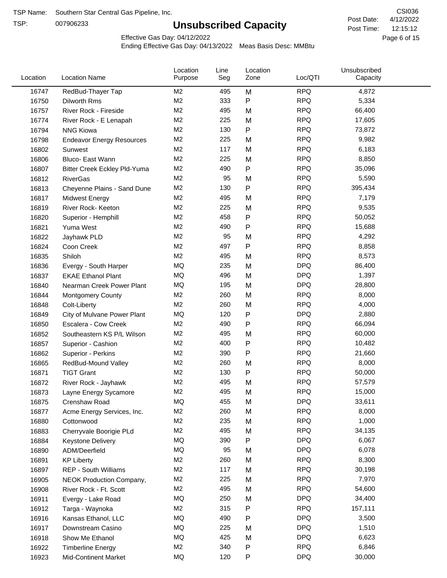TSP:

# **Unsubscribed Capacity**

4/12/2022 Page 6 of 15 12:15:12 CSI036 Post Date: Post Time:

Effective Gas Day: 04/12/2022

| <b>RPQ</b><br>RedBud-Thayer Tap<br>M<br>4,872<br>16747<br>M <sub>2</sub><br>495<br>M <sub>2</sub><br>333<br>P<br><b>RPQ</b><br>5,334<br>16750<br>Dilworth Rms<br>M <sub>2</sub><br><b>RPQ</b><br>66,400<br>495<br>M<br>16757<br>River Rock - Fireside<br>M <sub>2</sub><br>225<br><b>RPQ</b><br>17,605<br>16774<br>M<br>River Rock - E Lenapah<br>M <sub>2</sub><br>P<br><b>RPQ</b><br>130<br>73,872<br>16794<br><b>NNG Kiowa</b><br>M <sub>2</sub><br><b>RPQ</b><br>225<br>9,982<br>M<br>16798<br><b>Endeavor Energy Resources</b><br>M <sub>2</sub><br><b>RPQ</b><br>117<br>M<br>6,183<br>16802<br>Sunwest<br>M <sub>2</sub><br><b>RPQ</b><br>225<br>8,850<br>M<br>16806<br>Bluco- East Wann<br>M <sub>2</sub><br>490<br>P<br><b>RPQ</b><br>35,096<br>16807<br>Bitter Creek Eckley Pld-Yuma<br>M <sub>2</sub><br><b>RPQ</b><br>95<br>5,590<br>M<br>16812<br><b>RiverGas</b><br>M <sub>2</sub><br>P<br><b>RPQ</b><br>395,434<br>130<br>16813<br>Cheyenne Plains - Sand Dune<br>M <sub>2</sub><br><b>RPQ</b><br>495<br>M<br>7,179<br>16817<br><b>Midwest Energy</b><br>M <sub>2</sub><br><b>RPQ</b><br>225<br>9,535<br>16819<br>River Rock- Keeton<br>M<br>M <sub>2</sub><br><b>RPQ</b><br>458<br>Ρ<br>50,052<br>16820<br>Superior - Hemphill<br>M <sub>2</sub><br><b>RPQ</b><br>490<br>P<br>15,688<br>Yuma West<br>16821<br>M <sub>2</sub><br><b>RPQ</b><br>95<br>M<br>4,292<br>16822<br>Jayhawk PLD<br>M <sub>2</sub><br>497<br>P<br><b>RPQ</b><br>8,858<br>16824<br>Coon Creek<br>M <sub>2</sub><br>495<br><b>RPQ</b><br>8,573<br>M<br>16835<br>Shiloh<br><b>DPQ</b><br>MQ<br>235<br>86,400<br>16836<br>Evergy - South Harper<br>M<br>MQ<br>496<br>M<br><b>DPQ</b><br>1,397<br>16837<br><b>EKAE Ethanol Plant</b><br>MQ<br><b>DPQ</b><br>195<br>M<br>28,800<br>16840<br>Nearman Creek Power Plant<br><b>RPQ</b><br>M <sub>2</sub><br>260<br>M<br>8,000<br>16844<br><b>Montgomery County</b><br>M <sub>2</sub><br><b>RPQ</b><br>260<br>M<br>4,000<br>16848<br>Colt-Liberty<br><b>MQ</b><br><b>DPQ</b><br>120<br>P<br>2,880<br>16849<br>City of Mulvane Power Plant<br>P<br>M <sub>2</sub><br>490<br><b>RPQ</b><br>66,094<br>16850<br>Escalera - Cow Creek<br><b>RPQ</b><br>M <sub>2</sub><br>60,000<br>495<br>M<br>16852<br>Southeastern KS P/L Wilson<br><b>RPQ</b><br>M <sub>2</sub><br>400<br>Ρ<br>10,482<br>16857<br>Superior - Cashion<br><b>RPQ</b><br>M <sub>2</sub><br>390<br>Ρ<br>21,660<br>16862<br>Superior - Perkins<br><b>RPQ</b><br>M <sub>2</sub><br>260<br>8,000<br>M<br>16865<br>RedBud-Mound Valley<br>M <sub>2</sub><br><b>RPQ</b><br>130<br>Ρ<br>50,000<br>16871<br><b>TIGT Grant</b><br>M <sub>2</sub><br><b>RPQ</b><br>495<br>M<br>57,579<br>16872<br>River Rock - Jayhawk<br><b>RPQ</b><br>M <sub>2</sub><br>495<br>15,000<br>16873<br>M<br>Layne Energy Sycamore<br>MQ<br>455<br><b>DPQ</b><br>33,611<br>Crenshaw Road<br>M<br>16875<br><b>RPQ</b><br>M <sub>2</sub><br>260<br>8,000<br>16877<br>Acme Energy Services, Inc.<br>M<br>M <sub>2</sub><br>235<br><b>RPQ</b><br>1,000<br>M<br>16880<br>Cottonwood<br>M <sub>2</sub><br>495<br><b>RPQ</b><br>34,135<br>16883<br>Cherryvale Boorigie PLd<br>M<br><b>MQ</b><br><b>DPQ</b><br>390<br>Ρ<br>6,067<br>16884<br><b>Keystone Delivery</b><br>MQ<br><b>DPQ</b><br>95<br>6,078<br>M<br>16890<br>ADM/Deerfield<br>M <sub>2</sub><br>260<br><b>RPQ</b><br>8,300<br>16891<br>M<br><b>KP Liberty</b><br>M <sub>2</sub><br>117<br><b>RPQ</b><br>30,198<br>16897<br>REP - South Williams<br>M<br>M <sub>2</sub><br><b>RPQ</b><br>225<br>7,970<br>16905<br>NEOK Production Company,<br>M<br><b>RPQ</b><br>M <sub>2</sub><br>495<br>16908<br>54,600<br>River Rock - Ft. Scott<br>M<br>MQ<br>250<br><b>DPQ</b><br>34,400<br>16911<br>M<br>Evergy - Lake Road<br>M <sub>2</sub><br>315<br><b>RPQ</b><br>157,111<br>Ρ<br>16912<br>Targa - Waynoka<br>MQ<br>490<br><b>DPQ</b><br>3,500<br>Ρ<br>16916<br>Kansas Ethanol, LLC<br>MQ<br>225<br><b>DPQ</b><br>1,510<br>16917<br>Downstream Casino<br>M<br><b>DPQ</b><br>MQ<br>425<br>6,623<br>16918<br>Show Me Ethanol<br>M | Location | <b>Location Name</b> | Location<br>Purpose | Line<br>Seg | Location<br>Zone | Loc/QTI | Unsubscribed<br>Capacity |  |
|---------------------------------------------------------------------------------------------------------------------------------------------------------------------------------------------------------------------------------------------------------------------------------------------------------------------------------------------------------------------------------------------------------------------------------------------------------------------------------------------------------------------------------------------------------------------------------------------------------------------------------------------------------------------------------------------------------------------------------------------------------------------------------------------------------------------------------------------------------------------------------------------------------------------------------------------------------------------------------------------------------------------------------------------------------------------------------------------------------------------------------------------------------------------------------------------------------------------------------------------------------------------------------------------------------------------------------------------------------------------------------------------------------------------------------------------------------------------------------------------------------------------------------------------------------------------------------------------------------------------------------------------------------------------------------------------------------------------------------------------------------------------------------------------------------------------------------------------------------------------------------------------------------------------------------------------------------------------------------------------------------------------------------------------------------------------------------------------------------------------------------------------------------------------------------------------------------------------------------------------------------------------------------------------------------------------------------------------------------------------------------------------------------------------------------------------------------------------------------------------------------------------------------------------------------------------------------------------------------------------------------------------------------------------------------------------------------------------------------------------------------------------------------------------------------------------------------------------------------------------------------------------------------------------------------------------------------------------------------------------------------------------------------------------------------------------------------------------------------------------------------------------------------------------------------------------------------------------------------------------------------------------------------------------------------------------------------------------------------------------------------------------------------------------------------------------------------------------------------------------------------------------------------------------------------------------------------------------------------------------------------------------------------------------------------------------------------------------------------------------------------------------------------------------------------------------------------------------------------------------------------------------------------------------------------------------------------------------------------------------------------------------------------------|----------|----------------------|---------------------|-------------|------------------|---------|--------------------------|--|
|                                                                                                                                                                                                                                                                                                                                                                                                                                                                                                                                                                                                                                                                                                                                                                                                                                                                                                                                                                                                                                                                                                                                                                                                                                                                                                                                                                                                                                                                                                                                                                                                                                                                                                                                                                                                                                                                                                                                                                                                                                                                                                                                                                                                                                                                                                                                                                                                                                                                                                                                                                                                                                                                                                                                                                                                                                                                                                                                                                                                                                                                                                                                                                                                                                                                                                                                                                                                                                                                                                                                                                                                                                                                                                                                                                                                                                                                                                                                                                                                                                       |          |                      |                     |             |                  |         |                          |  |
|                                                                                                                                                                                                                                                                                                                                                                                                                                                                                                                                                                                                                                                                                                                                                                                                                                                                                                                                                                                                                                                                                                                                                                                                                                                                                                                                                                                                                                                                                                                                                                                                                                                                                                                                                                                                                                                                                                                                                                                                                                                                                                                                                                                                                                                                                                                                                                                                                                                                                                                                                                                                                                                                                                                                                                                                                                                                                                                                                                                                                                                                                                                                                                                                                                                                                                                                                                                                                                                                                                                                                                                                                                                                                                                                                                                                                                                                                                                                                                                                                                       |          |                      |                     |             |                  |         |                          |  |
|                                                                                                                                                                                                                                                                                                                                                                                                                                                                                                                                                                                                                                                                                                                                                                                                                                                                                                                                                                                                                                                                                                                                                                                                                                                                                                                                                                                                                                                                                                                                                                                                                                                                                                                                                                                                                                                                                                                                                                                                                                                                                                                                                                                                                                                                                                                                                                                                                                                                                                                                                                                                                                                                                                                                                                                                                                                                                                                                                                                                                                                                                                                                                                                                                                                                                                                                                                                                                                                                                                                                                                                                                                                                                                                                                                                                                                                                                                                                                                                                                                       |          |                      |                     |             |                  |         |                          |  |
|                                                                                                                                                                                                                                                                                                                                                                                                                                                                                                                                                                                                                                                                                                                                                                                                                                                                                                                                                                                                                                                                                                                                                                                                                                                                                                                                                                                                                                                                                                                                                                                                                                                                                                                                                                                                                                                                                                                                                                                                                                                                                                                                                                                                                                                                                                                                                                                                                                                                                                                                                                                                                                                                                                                                                                                                                                                                                                                                                                                                                                                                                                                                                                                                                                                                                                                                                                                                                                                                                                                                                                                                                                                                                                                                                                                                                                                                                                                                                                                                                                       |          |                      |                     |             |                  |         |                          |  |
|                                                                                                                                                                                                                                                                                                                                                                                                                                                                                                                                                                                                                                                                                                                                                                                                                                                                                                                                                                                                                                                                                                                                                                                                                                                                                                                                                                                                                                                                                                                                                                                                                                                                                                                                                                                                                                                                                                                                                                                                                                                                                                                                                                                                                                                                                                                                                                                                                                                                                                                                                                                                                                                                                                                                                                                                                                                                                                                                                                                                                                                                                                                                                                                                                                                                                                                                                                                                                                                                                                                                                                                                                                                                                                                                                                                                                                                                                                                                                                                                                                       |          |                      |                     |             |                  |         |                          |  |
|                                                                                                                                                                                                                                                                                                                                                                                                                                                                                                                                                                                                                                                                                                                                                                                                                                                                                                                                                                                                                                                                                                                                                                                                                                                                                                                                                                                                                                                                                                                                                                                                                                                                                                                                                                                                                                                                                                                                                                                                                                                                                                                                                                                                                                                                                                                                                                                                                                                                                                                                                                                                                                                                                                                                                                                                                                                                                                                                                                                                                                                                                                                                                                                                                                                                                                                                                                                                                                                                                                                                                                                                                                                                                                                                                                                                                                                                                                                                                                                                                                       |          |                      |                     |             |                  |         |                          |  |
|                                                                                                                                                                                                                                                                                                                                                                                                                                                                                                                                                                                                                                                                                                                                                                                                                                                                                                                                                                                                                                                                                                                                                                                                                                                                                                                                                                                                                                                                                                                                                                                                                                                                                                                                                                                                                                                                                                                                                                                                                                                                                                                                                                                                                                                                                                                                                                                                                                                                                                                                                                                                                                                                                                                                                                                                                                                                                                                                                                                                                                                                                                                                                                                                                                                                                                                                                                                                                                                                                                                                                                                                                                                                                                                                                                                                                                                                                                                                                                                                                                       |          |                      |                     |             |                  |         |                          |  |
|                                                                                                                                                                                                                                                                                                                                                                                                                                                                                                                                                                                                                                                                                                                                                                                                                                                                                                                                                                                                                                                                                                                                                                                                                                                                                                                                                                                                                                                                                                                                                                                                                                                                                                                                                                                                                                                                                                                                                                                                                                                                                                                                                                                                                                                                                                                                                                                                                                                                                                                                                                                                                                                                                                                                                                                                                                                                                                                                                                                                                                                                                                                                                                                                                                                                                                                                                                                                                                                                                                                                                                                                                                                                                                                                                                                                                                                                                                                                                                                                                                       |          |                      |                     |             |                  |         |                          |  |
|                                                                                                                                                                                                                                                                                                                                                                                                                                                                                                                                                                                                                                                                                                                                                                                                                                                                                                                                                                                                                                                                                                                                                                                                                                                                                                                                                                                                                                                                                                                                                                                                                                                                                                                                                                                                                                                                                                                                                                                                                                                                                                                                                                                                                                                                                                                                                                                                                                                                                                                                                                                                                                                                                                                                                                                                                                                                                                                                                                                                                                                                                                                                                                                                                                                                                                                                                                                                                                                                                                                                                                                                                                                                                                                                                                                                                                                                                                                                                                                                                                       |          |                      |                     |             |                  |         |                          |  |
|                                                                                                                                                                                                                                                                                                                                                                                                                                                                                                                                                                                                                                                                                                                                                                                                                                                                                                                                                                                                                                                                                                                                                                                                                                                                                                                                                                                                                                                                                                                                                                                                                                                                                                                                                                                                                                                                                                                                                                                                                                                                                                                                                                                                                                                                                                                                                                                                                                                                                                                                                                                                                                                                                                                                                                                                                                                                                                                                                                                                                                                                                                                                                                                                                                                                                                                                                                                                                                                                                                                                                                                                                                                                                                                                                                                                                                                                                                                                                                                                                                       |          |                      |                     |             |                  |         |                          |  |
|                                                                                                                                                                                                                                                                                                                                                                                                                                                                                                                                                                                                                                                                                                                                                                                                                                                                                                                                                                                                                                                                                                                                                                                                                                                                                                                                                                                                                                                                                                                                                                                                                                                                                                                                                                                                                                                                                                                                                                                                                                                                                                                                                                                                                                                                                                                                                                                                                                                                                                                                                                                                                                                                                                                                                                                                                                                                                                                                                                                                                                                                                                                                                                                                                                                                                                                                                                                                                                                                                                                                                                                                                                                                                                                                                                                                                                                                                                                                                                                                                                       |          |                      |                     |             |                  |         |                          |  |
|                                                                                                                                                                                                                                                                                                                                                                                                                                                                                                                                                                                                                                                                                                                                                                                                                                                                                                                                                                                                                                                                                                                                                                                                                                                                                                                                                                                                                                                                                                                                                                                                                                                                                                                                                                                                                                                                                                                                                                                                                                                                                                                                                                                                                                                                                                                                                                                                                                                                                                                                                                                                                                                                                                                                                                                                                                                                                                                                                                                                                                                                                                                                                                                                                                                                                                                                                                                                                                                                                                                                                                                                                                                                                                                                                                                                                                                                                                                                                                                                                                       |          |                      |                     |             |                  |         |                          |  |
|                                                                                                                                                                                                                                                                                                                                                                                                                                                                                                                                                                                                                                                                                                                                                                                                                                                                                                                                                                                                                                                                                                                                                                                                                                                                                                                                                                                                                                                                                                                                                                                                                                                                                                                                                                                                                                                                                                                                                                                                                                                                                                                                                                                                                                                                                                                                                                                                                                                                                                                                                                                                                                                                                                                                                                                                                                                                                                                                                                                                                                                                                                                                                                                                                                                                                                                                                                                                                                                                                                                                                                                                                                                                                                                                                                                                                                                                                                                                                                                                                                       |          |                      |                     |             |                  |         |                          |  |
|                                                                                                                                                                                                                                                                                                                                                                                                                                                                                                                                                                                                                                                                                                                                                                                                                                                                                                                                                                                                                                                                                                                                                                                                                                                                                                                                                                                                                                                                                                                                                                                                                                                                                                                                                                                                                                                                                                                                                                                                                                                                                                                                                                                                                                                                                                                                                                                                                                                                                                                                                                                                                                                                                                                                                                                                                                                                                                                                                                                                                                                                                                                                                                                                                                                                                                                                                                                                                                                                                                                                                                                                                                                                                                                                                                                                                                                                                                                                                                                                                                       |          |                      |                     |             |                  |         |                          |  |
|                                                                                                                                                                                                                                                                                                                                                                                                                                                                                                                                                                                                                                                                                                                                                                                                                                                                                                                                                                                                                                                                                                                                                                                                                                                                                                                                                                                                                                                                                                                                                                                                                                                                                                                                                                                                                                                                                                                                                                                                                                                                                                                                                                                                                                                                                                                                                                                                                                                                                                                                                                                                                                                                                                                                                                                                                                                                                                                                                                                                                                                                                                                                                                                                                                                                                                                                                                                                                                                                                                                                                                                                                                                                                                                                                                                                                                                                                                                                                                                                                                       |          |                      |                     |             |                  |         |                          |  |
|                                                                                                                                                                                                                                                                                                                                                                                                                                                                                                                                                                                                                                                                                                                                                                                                                                                                                                                                                                                                                                                                                                                                                                                                                                                                                                                                                                                                                                                                                                                                                                                                                                                                                                                                                                                                                                                                                                                                                                                                                                                                                                                                                                                                                                                                                                                                                                                                                                                                                                                                                                                                                                                                                                                                                                                                                                                                                                                                                                                                                                                                                                                                                                                                                                                                                                                                                                                                                                                                                                                                                                                                                                                                                                                                                                                                                                                                                                                                                                                                                                       |          |                      |                     |             |                  |         |                          |  |
|                                                                                                                                                                                                                                                                                                                                                                                                                                                                                                                                                                                                                                                                                                                                                                                                                                                                                                                                                                                                                                                                                                                                                                                                                                                                                                                                                                                                                                                                                                                                                                                                                                                                                                                                                                                                                                                                                                                                                                                                                                                                                                                                                                                                                                                                                                                                                                                                                                                                                                                                                                                                                                                                                                                                                                                                                                                                                                                                                                                                                                                                                                                                                                                                                                                                                                                                                                                                                                                                                                                                                                                                                                                                                                                                                                                                                                                                                                                                                                                                                                       |          |                      |                     |             |                  |         |                          |  |
|                                                                                                                                                                                                                                                                                                                                                                                                                                                                                                                                                                                                                                                                                                                                                                                                                                                                                                                                                                                                                                                                                                                                                                                                                                                                                                                                                                                                                                                                                                                                                                                                                                                                                                                                                                                                                                                                                                                                                                                                                                                                                                                                                                                                                                                                                                                                                                                                                                                                                                                                                                                                                                                                                                                                                                                                                                                                                                                                                                                                                                                                                                                                                                                                                                                                                                                                                                                                                                                                                                                                                                                                                                                                                                                                                                                                                                                                                                                                                                                                                                       |          |                      |                     |             |                  |         |                          |  |
|                                                                                                                                                                                                                                                                                                                                                                                                                                                                                                                                                                                                                                                                                                                                                                                                                                                                                                                                                                                                                                                                                                                                                                                                                                                                                                                                                                                                                                                                                                                                                                                                                                                                                                                                                                                                                                                                                                                                                                                                                                                                                                                                                                                                                                                                                                                                                                                                                                                                                                                                                                                                                                                                                                                                                                                                                                                                                                                                                                                                                                                                                                                                                                                                                                                                                                                                                                                                                                                                                                                                                                                                                                                                                                                                                                                                                                                                                                                                                                                                                                       |          |                      |                     |             |                  |         |                          |  |
|                                                                                                                                                                                                                                                                                                                                                                                                                                                                                                                                                                                                                                                                                                                                                                                                                                                                                                                                                                                                                                                                                                                                                                                                                                                                                                                                                                                                                                                                                                                                                                                                                                                                                                                                                                                                                                                                                                                                                                                                                                                                                                                                                                                                                                                                                                                                                                                                                                                                                                                                                                                                                                                                                                                                                                                                                                                                                                                                                                                                                                                                                                                                                                                                                                                                                                                                                                                                                                                                                                                                                                                                                                                                                                                                                                                                                                                                                                                                                                                                                                       |          |                      |                     |             |                  |         |                          |  |
|                                                                                                                                                                                                                                                                                                                                                                                                                                                                                                                                                                                                                                                                                                                                                                                                                                                                                                                                                                                                                                                                                                                                                                                                                                                                                                                                                                                                                                                                                                                                                                                                                                                                                                                                                                                                                                                                                                                                                                                                                                                                                                                                                                                                                                                                                                                                                                                                                                                                                                                                                                                                                                                                                                                                                                                                                                                                                                                                                                                                                                                                                                                                                                                                                                                                                                                                                                                                                                                                                                                                                                                                                                                                                                                                                                                                                                                                                                                                                                                                                                       |          |                      |                     |             |                  |         |                          |  |
|                                                                                                                                                                                                                                                                                                                                                                                                                                                                                                                                                                                                                                                                                                                                                                                                                                                                                                                                                                                                                                                                                                                                                                                                                                                                                                                                                                                                                                                                                                                                                                                                                                                                                                                                                                                                                                                                                                                                                                                                                                                                                                                                                                                                                                                                                                                                                                                                                                                                                                                                                                                                                                                                                                                                                                                                                                                                                                                                                                                                                                                                                                                                                                                                                                                                                                                                                                                                                                                                                                                                                                                                                                                                                                                                                                                                                                                                                                                                                                                                                                       |          |                      |                     |             |                  |         |                          |  |
|                                                                                                                                                                                                                                                                                                                                                                                                                                                                                                                                                                                                                                                                                                                                                                                                                                                                                                                                                                                                                                                                                                                                                                                                                                                                                                                                                                                                                                                                                                                                                                                                                                                                                                                                                                                                                                                                                                                                                                                                                                                                                                                                                                                                                                                                                                                                                                                                                                                                                                                                                                                                                                                                                                                                                                                                                                                                                                                                                                                                                                                                                                                                                                                                                                                                                                                                                                                                                                                                                                                                                                                                                                                                                                                                                                                                                                                                                                                                                                                                                                       |          |                      |                     |             |                  |         |                          |  |
|                                                                                                                                                                                                                                                                                                                                                                                                                                                                                                                                                                                                                                                                                                                                                                                                                                                                                                                                                                                                                                                                                                                                                                                                                                                                                                                                                                                                                                                                                                                                                                                                                                                                                                                                                                                                                                                                                                                                                                                                                                                                                                                                                                                                                                                                                                                                                                                                                                                                                                                                                                                                                                                                                                                                                                                                                                                                                                                                                                                                                                                                                                                                                                                                                                                                                                                                                                                                                                                                                                                                                                                                                                                                                                                                                                                                                                                                                                                                                                                                                                       |          |                      |                     |             |                  |         |                          |  |
|                                                                                                                                                                                                                                                                                                                                                                                                                                                                                                                                                                                                                                                                                                                                                                                                                                                                                                                                                                                                                                                                                                                                                                                                                                                                                                                                                                                                                                                                                                                                                                                                                                                                                                                                                                                                                                                                                                                                                                                                                                                                                                                                                                                                                                                                                                                                                                                                                                                                                                                                                                                                                                                                                                                                                                                                                                                                                                                                                                                                                                                                                                                                                                                                                                                                                                                                                                                                                                                                                                                                                                                                                                                                                                                                                                                                                                                                                                                                                                                                                                       |          |                      |                     |             |                  |         |                          |  |
|                                                                                                                                                                                                                                                                                                                                                                                                                                                                                                                                                                                                                                                                                                                                                                                                                                                                                                                                                                                                                                                                                                                                                                                                                                                                                                                                                                                                                                                                                                                                                                                                                                                                                                                                                                                                                                                                                                                                                                                                                                                                                                                                                                                                                                                                                                                                                                                                                                                                                                                                                                                                                                                                                                                                                                                                                                                                                                                                                                                                                                                                                                                                                                                                                                                                                                                                                                                                                                                                                                                                                                                                                                                                                                                                                                                                                                                                                                                                                                                                                                       |          |                      |                     |             |                  |         |                          |  |
|                                                                                                                                                                                                                                                                                                                                                                                                                                                                                                                                                                                                                                                                                                                                                                                                                                                                                                                                                                                                                                                                                                                                                                                                                                                                                                                                                                                                                                                                                                                                                                                                                                                                                                                                                                                                                                                                                                                                                                                                                                                                                                                                                                                                                                                                                                                                                                                                                                                                                                                                                                                                                                                                                                                                                                                                                                                                                                                                                                                                                                                                                                                                                                                                                                                                                                                                                                                                                                                                                                                                                                                                                                                                                                                                                                                                                                                                                                                                                                                                                                       |          |                      |                     |             |                  |         |                          |  |
|                                                                                                                                                                                                                                                                                                                                                                                                                                                                                                                                                                                                                                                                                                                                                                                                                                                                                                                                                                                                                                                                                                                                                                                                                                                                                                                                                                                                                                                                                                                                                                                                                                                                                                                                                                                                                                                                                                                                                                                                                                                                                                                                                                                                                                                                                                                                                                                                                                                                                                                                                                                                                                                                                                                                                                                                                                                                                                                                                                                                                                                                                                                                                                                                                                                                                                                                                                                                                                                                                                                                                                                                                                                                                                                                                                                                                                                                                                                                                                                                                                       |          |                      |                     |             |                  |         |                          |  |
|                                                                                                                                                                                                                                                                                                                                                                                                                                                                                                                                                                                                                                                                                                                                                                                                                                                                                                                                                                                                                                                                                                                                                                                                                                                                                                                                                                                                                                                                                                                                                                                                                                                                                                                                                                                                                                                                                                                                                                                                                                                                                                                                                                                                                                                                                                                                                                                                                                                                                                                                                                                                                                                                                                                                                                                                                                                                                                                                                                                                                                                                                                                                                                                                                                                                                                                                                                                                                                                                                                                                                                                                                                                                                                                                                                                                                                                                                                                                                                                                                                       |          |                      |                     |             |                  |         |                          |  |
|                                                                                                                                                                                                                                                                                                                                                                                                                                                                                                                                                                                                                                                                                                                                                                                                                                                                                                                                                                                                                                                                                                                                                                                                                                                                                                                                                                                                                                                                                                                                                                                                                                                                                                                                                                                                                                                                                                                                                                                                                                                                                                                                                                                                                                                                                                                                                                                                                                                                                                                                                                                                                                                                                                                                                                                                                                                                                                                                                                                                                                                                                                                                                                                                                                                                                                                                                                                                                                                                                                                                                                                                                                                                                                                                                                                                                                                                                                                                                                                                                                       |          |                      |                     |             |                  |         |                          |  |
|                                                                                                                                                                                                                                                                                                                                                                                                                                                                                                                                                                                                                                                                                                                                                                                                                                                                                                                                                                                                                                                                                                                                                                                                                                                                                                                                                                                                                                                                                                                                                                                                                                                                                                                                                                                                                                                                                                                                                                                                                                                                                                                                                                                                                                                                                                                                                                                                                                                                                                                                                                                                                                                                                                                                                                                                                                                                                                                                                                                                                                                                                                                                                                                                                                                                                                                                                                                                                                                                                                                                                                                                                                                                                                                                                                                                                                                                                                                                                                                                                                       |          |                      |                     |             |                  |         |                          |  |
|                                                                                                                                                                                                                                                                                                                                                                                                                                                                                                                                                                                                                                                                                                                                                                                                                                                                                                                                                                                                                                                                                                                                                                                                                                                                                                                                                                                                                                                                                                                                                                                                                                                                                                                                                                                                                                                                                                                                                                                                                                                                                                                                                                                                                                                                                                                                                                                                                                                                                                                                                                                                                                                                                                                                                                                                                                                                                                                                                                                                                                                                                                                                                                                                                                                                                                                                                                                                                                                                                                                                                                                                                                                                                                                                                                                                                                                                                                                                                                                                                                       |          |                      |                     |             |                  |         |                          |  |
|                                                                                                                                                                                                                                                                                                                                                                                                                                                                                                                                                                                                                                                                                                                                                                                                                                                                                                                                                                                                                                                                                                                                                                                                                                                                                                                                                                                                                                                                                                                                                                                                                                                                                                                                                                                                                                                                                                                                                                                                                                                                                                                                                                                                                                                                                                                                                                                                                                                                                                                                                                                                                                                                                                                                                                                                                                                                                                                                                                                                                                                                                                                                                                                                                                                                                                                                                                                                                                                                                                                                                                                                                                                                                                                                                                                                                                                                                                                                                                                                                                       |          |                      |                     |             |                  |         |                          |  |
|                                                                                                                                                                                                                                                                                                                                                                                                                                                                                                                                                                                                                                                                                                                                                                                                                                                                                                                                                                                                                                                                                                                                                                                                                                                                                                                                                                                                                                                                                                                                                                                                                                                                                                                                                                                                                                                                                                                                                                                                                                                                                                                                                                                                                                                                                                                                                                                                                                                                                                                                                                                                                                                                                                                                                                                                                                                                                                                                                                                                                                                                                                                                                                                                                                                                                                                                                                                                                                                                                                                                                                                                                                                                                                                                                                                                                                                                                                                                                                                                                                       |          |                      |                     |             |                  |         |                          |  |
|                                                                                                                                                                                                                                                                                                                                                                                                                                                                                                                                                                                                                                                                                                                                                                                                                                                                                                                                                                                                                                                                                                                                                                                                                                                                                                                                                                                                                                                                                                                                                                                                                                                                                                                                                                                                                                                                                                                                                                                                                                                                                                                                                                                                                                                                                                                                                                                                                                                                                                                                                                                                                                                                                                                                                                                                                                                                                                                                                                                                                                                                                                                                                                                                                                                                                                                                                                                                                                                                                                                                                                                                                                                                                                                                                                                                                                                                                                                                                                                                                                       |          |                      |                     |             |                  |         |                          |  |
|                                                                                                                                                                                                                                                                                                                                                                                                                                                                                                                                                                                                                                                                                                                                                                                                                                                                                                                                                                                                                                                                                                                                                                                                                                                                                                                                                                                                                                                                                                                                                                                                                                                                                                                                                                                                                                                                                                                                                                                                                                                                                                                                                                                                                                                                                                                                                                                                                                                                                                                                                                                                                                                                                                                                                                                                                                                                                                                                                                                                                                                                                                                                                                                                                                                                                                                                                                                                                                                                                                                                                                                                                                                                                                                                                                                                                                                                                                                                                                                                                                       |          |                      |                     |             |                  |         |                          |  |
|                                                                                                                                                                                                                                                                                                                                                                                                                                                                                                                                                                                                                                                                                                                                                                                                                                                                                                                                                                                                                                                                                                                                                                                                                                                                                                                                                                                                                                                                                                                                                                                                                                                                                                                                                                                                                                                                                                                                                                                                                                                                                                                                                                                                                                                                                                                                                                                                                                                                                                                                                                                                                                                                                                                                                                                                                                                                                                                                                                                                                                                                                                                                                                                                                                                                                                                                                                                                                                                                                                                                                                                                                                                                                                                                                                                                                                                                                                                                                                                                                                       |          |                      |                     |             |                  |         |                          |  |
|                                                                                                                                                                                                                                                                                                                                                                                                                                                                                                                                                                                                                                                                                                                                                                                                                                                                                                                                                                                                                                                                                                                                                                                                                                                                                                                                                                                                                                                                                                                                                                                                                                                                                                                                                                                                                                                                                                                                                                                                                                                                                                                                                                                                                                                                                                                                                                                                                                                                                                                                                                                                                                                                                                                                                                                                                                                                                                                                                                                                                                                                                                                                                                                                                                                                                                                                                                                                                                                                                                                                                                                                                                                                                                                                                                                                                                                                                                                                                                                                                                       |          |                      |                     |             |                  |         |                          |  |
|                                                                                                                                                                                                                                                                                                                                                                                                                                                                                                                                                                                                                                                                                                                                                                                                                                                                                                                                                                                                                                                                                                                                                                                                                                                                                                                                                                                                                                                                                                                                                                                                                                                                                                                                                                                                                                                                                                                                                                                                                                                                                                                                                                                                                                                                                                                                                                                                                                                                                                                                                                                                                                                                                                                                                                                                                                                                                                                                                                                                                                                                                                                                                                                                                                                                                                                                                                                                                                                                                                                                                                                                                                                                                                                                                                                                                                                                                                                                                                                                                                       |          |                      |                     |             |                  |         |                          |  |
|                                                                                                                                                                                                                                                                                                                                                                                                                                                                                                                                                                                                                                                                                                                                                                                                                                                                                                                                                                                                                                                                                                                                                                                                                                                                                                                                                                                                                                                                                                                                                                                                                                                                                                                                                                                                                                                                                                                                                                                                                                                                                                                                                                                                                                                                                                                                                                                                                                                                                                                                                                                                                                                                                                                                                                                                                                                                                                                                                                                                                                                                                                                                                                                                                                                                                                                                                                                                                                                                                                                                                                                                                                                                                                                                                                                                                                                                                                                                                                                                                                       |          |                      |                     |             |                  |         |                          |  |
|                                                                                                                                                                                                                                                                                                                                                                                                                                                                                                                                                                                                                                                                                                                                                                                                                                                                                                                                                                                                                                                                                                                                                                                                                                                                                                                                                                                                                                                                                                                                                                                                                                                                                                                                                                                                                                                                                                                                                                                                                                                                                                                                                                                                                                                                                                                                                                                                                                                                                                                                                                                                                                                                                                                                                                                                                                                                                                                                                                                                                                                                                                                                                                                                                                                                                                                                                                                                                                                                                                                                                                                                                                                                                                                                                                                                                                                                                                                                                                                                                                       |          |                      |                     |             |                  |         |                          |  |
|                                                                                                                                                                                                                                                                                                                                                                                                                                                                                                                                                                                                                                                                                                                                                                                                                                                                                                                                                                                                                                                                                                                                                                                                                                                                                                                                                                                                                                                                                                                                                                                                                                                                                                                                                                                                                                                                                                                                                                                                                                                                                                                                                                                                                                                                                                                                                                                                                                                                                                                                                                                                                                                                                                                                                                                                                                                                                                                                                                                                                                                                                                                                                                                                                                                                                                                                                                                                                                                                                                                                                                                                                                                                                                                                                                                                                                                                                                                                                                                                                                       |          |                      |                     |             |                  |         |                          |  |
|                                                                                                                                                                                                                                                                                                                                                                                                                                                                                                                                                                                                                                                                                                                                                                                                                                                                                                                                                                                                                                                                                                                                                                                                                                                                                                                                                                                                                                                                                                                                                                                                                                                                                                                                                                                                                                                                                                                                                                                                                                                                                                                                                                                                                                                                                                                                                                                                                                                                                                                                                                                                                                                                                                                                                                                                                                                                                                                                                                                                                                                                                                                                                                                                                                                                                                                                                                                                                                                                                                                                                                                                                                                                                                                                                                                                                                                                                                                                                                                                                                       |          |                      |                     |             |                  |         |                          |  |
|                                                                                                                                                                                                                                                                                                                                                                                                                                                                                                                                                                                                                                                                                                                                                                                                                                                                                                                                                                                                                                                                                                                                                                                                                                                                                                                                                                                                                                                                                                                                                                                                                                                                                                                                                                                                                                                                                                                                                                                                                                                                                                                                                                                                                                                                                                                                                                                                                                                                                                                                                                                                                                                                                                                                                                                                                                                                                                                                                                                                                                                                                                                                                                                                                                                                                                                                                                                                                                                                                                                                                                                                                                                                                                                                                                                                                                                                                                                                                                                                                                       |          |                      |                     |             |                  |         |                          |  |
|                                                                                                                                                                                                                                                                                                                                                                                                                                                                                                                                                                                                                                                                                                                                                                                                                                                                                                                                                                                                                                                                                                                                                                                                                                                                                                                                                                                                                                                                                                                                                                                                                                                                                                                                                                                                                                                                                                                                                                                                                                                                                                                                                                                                                                                                                                                                                                                                                                                                                                                                                                                                                                                                                                                                                                                                                                                                                                                                                                                                                                                                                                                                                                                                                                                                                                                                                                                                                                                                                                                                                                                                                                                                                                                                                                                                                                                                                                                                                                                                                                       |          |                      |                     |             |                  |         |                          |  |
|                                                                                                                                                                                                                                                                                                                                                                                                                                                                                                                                                                                                                                                                                                                                                                                                                                                                                                                                                                                                                                                                                                                                                                                                                                                                                                                                                                                                                                                                                                                                                                                                                                                                                                                                                                                                                                                                                                                                                                                                                                                                                                                                                                                                                                                                                                                                                                                                                                                                                                                                                                                                                                                                                                                                                                                                                                                                                                                                                                                                                                                                                                                                                                                                                                                                                                                                                                                                                                                                                                                                                                                                                                                                                                                                                                                                                                                                                                                                                                                                                                       |          |                      |                     |             |                  |         |                          |  |
|                                                                                                                                                                                                                                                                                                                                                                                                                                                                                                                                                                                                                                                                                                                                                                                                                                                                                                                                                                                                                                                                                                                                                                                                                                                                                                                                                                                                                                                                                                                                                                                                                                                                                                                                                                                                                                                                                                                                                                                                                                                                                                                                                                                                                                                                                                                                                                                                                                                                                                                                                                                                                                                                                                                                                                                                                                                                                                                                                                                                                                                                                                                                                                                                                                                                                                                                                                                                                                                                                                                                                                                                                                                                                                                                                                                                                                                                                                                                                                                                                                       |          |                      |                     |             |                  |         |                          |  |
| <b>RPQ</b><br>M <sub>2</sub><br>340<br>Ρ<br>6,846<br>16922<br><b>Timberline Energy</b>                                                                                                                                                                                                                                                                                                                                                                                                                                                                                                                                                                                                                                                                                                                                                                                                                                                                                                                                                                                                                                                                                                                                                                                                                                                                                                                                                                                                                                                                                                                                                                                                                                                                                                                                                                                                                                                                                                                                                                                                                                                                                                                                                                                                                                                                                                                                                                                                                                                                                                                                                                                                                                                                                                                                                                                                                                                                                                                                                                                                                                                                                                                                                                                                                                                                                                                                                                                                                                                                                                                                                                                                                                                                                                                                                                                                                                                                                                                                                |          |                      |                     |             |                  |         |                          |  |
| <b>DPQ</b><br>MQ<br>120<br>30,000<br><b>Mid-Continent Market</b><br>P<br>16923                                                                                                                                                                                                                                                                                                                                                                                                                                                                                                                                                                                                                                                                                                                                                                                                                                                                                                                                                                                                                                                                                                                                                                                                                                                                                                                                                                                                                                                                                                                                                                                                                                                                                                                                                                                                                                                                                                                                                                                                                                                                                                                                                                                                                                                                                                                                                                                                                                                                                                                                                                                                                                                                                                                                                                                                                                                                                                                                                                                                                                                                                                                                                                                                                                                                                                                                                                                                                                                                                                                                                                                                                                                                                                                                                                                                                                                                                                                                                        |          |                      |                     |             |                  |         |                          |  |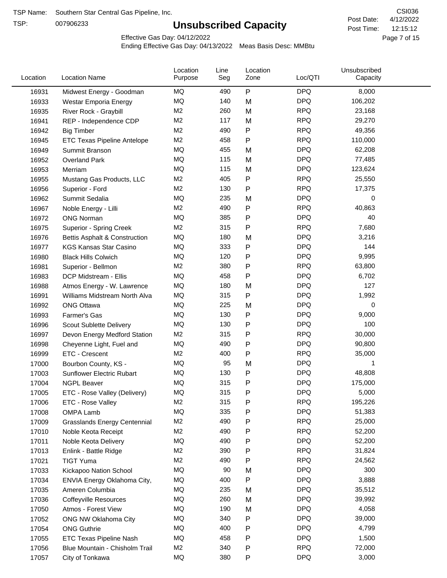TSP:

# **Unsubscribed Capacity**

4/12/2022 Page 7 of 15 12:15:12 CSI036 Post Date: Post Time:

Effective Gas Day: 04/12/2022

| Location | <b>Location Name</b>                     | Location<br>Purpose | Line<br>Seg | Location<br>Zone | Loc/QTI    | Unsubscribed<br>Capacity |
|----------|------------------------------------------|---------------------|-------------|------------------|------------|--------------------------|
| 16931    | Midwest Energy - Goodman                 | MQ                  | 490         | $\mathsf{P}$     | <b>DPQ</b> | 8,000                    |
| 16933    | Westar Emporia Energy                    | MQ                  | 140         | M                | <b>DPQ</b> | 106,202                  |
| 16935    | River Rock - Graybill                    | M <sub>2</sub>      | 260         | M                | <b>RPQ</b> | 23,168                   |
| 16941    | REP - Independence CDP                   | M <sub>2</sub>      | 117         | M                | <b>RPQ</b> | 29,270                   |
| 16942    | <b>Big Timber</b>                        | M <sub>2</sub>      | 490         | ${\sf P}$        | <b>RPQ</b> | 49,356                   |
| 16945    | <b>ETC Texas Pipeline Antelope</b>       | M <sub>2</sub>      | 458         | $\mathsf{P}$     | <b>RPQ</b> | 110,000                  |
| 16949    | Summit Branson                           | MQ                  | 455         | M                | <b>DPQ</b> | 62,208                   |
| 16952    | <b>Overland Park</b>                     | MQ                  | 115         | M                | <b>DPQ</b> | 77,485                   |
| 16953    | Merriam                                  | <b>MQ</b>           | 115         | M                | <b>DPQ</b> | 123,624                  |
| 16955    | Mustang Gas Products, LLC                | M <sub>2</sub>      | 405         | ${\sf P}$        | <b>RPQ</b> | 25,550                   |
| 16956    | Superior - Ford                          | M <sub>2</sub>      | 130         | P                | <b>RPQ</b> | 17,375                   |
| 16962    | Summit Sedalia                           | MQ                  | 235         | M                | <b>DPQ</b> | 0                        |
| 16967    | Noble Energy - Lilli                     | M <sub>2</sub>      | 490         | P                | <b>RPQ</b> | 40,863                   |
| 16972    | <b>ONG Norman</b>                        | <b>MQ</b>           | 385         | P                | <b>DPQ</b> | 40                       |
| 16975    | Superior - Spring Creek                  | M <sub>2</sub>      | 315         | $\mathsf{P}$     | <b>RPQ</b> | 7,680                    |
| 16976    | <b>Bettis Asphalt &amp; Construction</b> | MQ                  | 180         | M                | <b>DPQ</b> | 3,216                    |
| 16977    | <b>KGS Kansas Star Casino</b>            | MQ                  | 333         | P                | <b>DPQ</b> | 144                      |
| 16980    | <b>Black Hills Colwich</b>               | MQ                  | 120         | P                | <b>DPQ</b> | 9,995                    |
| 16981    | Superior - Bellmon                       | M <sub>2</sub>      | 380         | P                | <b>RPQ</b> | 63,800                   |
| 16983    | DCP Midstream - Ellis                    | MQ                  | 458         | P                | <b>DPQ</b> | 6,702                    |
| 16988    | Atmos Energy - W. Lawrence               | MQ                  | 180         | M                | <b>DPQ</b> | 127                      |
| 16991    | Williams Midstream North Alva            | MQ                  | 315         | P                | <b>DPQ</b> | 1,992                    |
| 16992    | <b>ONG Ottawa</b>                        | MQ                  | 225         | M                | <b>DPQ</b> | 0                        |
| 16993    | Farmer's Gas                             | MQ                  | 130         | P                | <b>DPQ</b> | 9,000                    |
| 16996    | Scout Sublette Delivery                  | MQ                  | 130         | P                | <b>DPQ</b> | 100                      |
| 16997    | Devon Energy Medford Station             | M <sub>2</sub>      | 315         | $\mathsf{P}$     | <b>RPQ</b> | 30,000                   |
| 16998    | Cheyenne Light, Fuel and                 | MQ                  | 490         | P                | <b>DPQ</b> | 90,800                   |
| 16999    | ETC - Crescent                           | M <sub>2</sub>      | 400         | ${\sf P}$        | <b>RPQ</b> | 35,000                   |
| 17000    | Bourbon County, KS -                     | MQ                  | 95          | M                | <b>DPQ</b> | 1                        |
| 17003    | Sunflower Electric Rubart                | MQ                  | 130         | ${\sf P}$        | <b>DPQ</b> | 48,808                   |
| 17004    | <b>NGPL Beaver</b>                       | MQ                  | 315         | P                | <b>DPQ</b> | 175,000                  |
| 17005    | ETC - Rose Valley (Delivery)             | MQ                  | 315         | Ρ                | <b>DPQ</b> | 5,000                    |
| 17006    | ETC - Rose Valley                        | M2                  | 315         | P                | <b>RPQ</b> | 195,226                  |
| 17008    | OMPA Lamb                                | MQ                  | 335         | ${\sf P}$        | <b>DPQ</b> | 51,383                   |
| 17009    | <b>Grasslands Energy Centennial</b>      | M <sub>2</sub>      | 490         | P                | <b>RPQ</b> | 25,000                   |
| 17010    | Noble Keota Receipt                      | M <sub>2</sub>      | 490         | P                | <b>RPQ</b> | 52,200                   |
| 17011    | Noble Keota Delivery                     | MQ                  | 490         | P                | <b>DPQ</b> | 52,200                   |
| 17013    | Enlink - Battle Ridge                    | M <sub>2</sub>      | 390         | P                | <b>RPQ</b> | 31,824                   |
| 17021    | <b>TIGT Yuma</b>                         | M <sub>2</sub>      | 490         | $\mathsf{P}$     | <b>RPQ</b> | 24,562                   |
| 17033    | Kickapoo Nation School                   | MQ                  | 90          | M                | <b>DPQ</b> | 300                      |
| 17034    | ENVIA Energy Oklahoma City,              | MQ                  | 400         | ${\sf P}$        | <b>DPQ</b> | 3,888                    |
| 17035    | Ameren Columbia                          | MQ                  | 235         | M                | <b>DPQ</b> | 35,512                   |
| 17036    | <b>Coffeyville Resources</b>             | MQ                  | 260         | M                | <b>DPQ</b> | 39,992                   |
| 17050    | Atmos - Forest View                      | MQ                  | 190         | M                | <b>DPQ</b> | 4,058                    |
| 17052    | ONG NW Oklahoma City                     | MQ                  | 340         | P                | <b>DPQ</b> | 39,000                   |
| 17054    | <b>ONG Guthrie</b>                       | MQ                  | 400         | P                | <b>DPQ</b> | 4,799                    |
| 17055    | ETC Texas Pipeline Nash                  | MQ                  | 458         | P                | <b>DPQ</b> | 1,500                    |
| 17056    | Blue Mountain - Chisholm Trail           | M <sub>2</sub>      | 340         | P                | <b>RPQ</b> | 72,000                   |
| 17057    | City of Tonkawa                          | MQ                  | 380         | P                | <b>DPQ</b> | 3,000                    |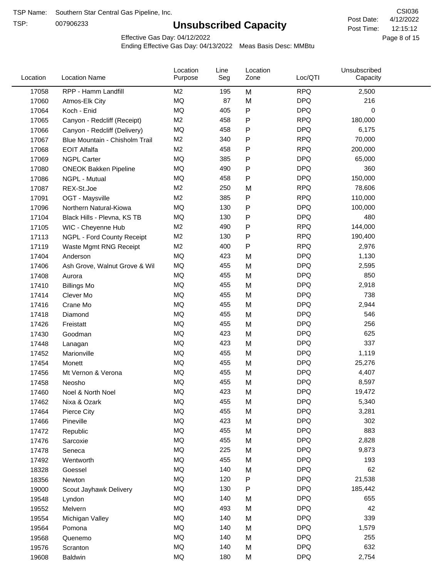TSP:

# **Unsubscribed Capacity**

4/12/2022 Page 8 of 15 12:15:12 CSI036 Post Date: Post Time:

Effective Gas Day: 04/12/2022

| Location | <b>Location Name</b>           | Location<br>Purpose | Line<br>Seg | Location<br>Zone | Loc/QTI    | Unsubscribed<br>Capacity |  |
|----------|--------------------------------|---------------------|-------------|------------------|------------|--------------------------|--|
| 17058    | RPP - Hamm Landfill            | M <sub>2</sub>      | 195         | M                | <b>RPQ</b> | 2,500                    |  |
| 17060    | Atmos-Elk City                 | <b>MQ</b>           | 87          | M                | <b>DPQ</b> | 216                      |  |
| 17064    | Koch - Enid                    | MQ                  | 405         | P                | <b>DPQ</b> | $\mathbf 0$              |  |
| 17065    | Canyon - Redcliff (Receipt)    | M <sub>2</sub>      | 458         | P                | <b>RPQ</b> | 180,000                  |  |
| 17066    | Canyon - Redcliff (Delivery)   | <b>MQ</b>           | 458         | Ρ                | <b>DPQ</b> | 6,175                    |  |
| 17067    | Blue Mountain - Chisholm Trail | M <sub>2</sub>      | 340         | P                | <b>RPQ</b> | 70,000                   |  |
| 17068    | <b>EOIT Alfalfa</b>            | M <sub>2</sub>      | 458         | Ρ                | <b>RPQ</b> | 200,000                  |  |
| 17069    | <b>NGPL Carter</b>             | MQ                  | 385         | Ρ                | <b>DPQ</b> | 65,000                   |  |
| 17080    | <b>ONEOK Bakken Pipeline</b>   | <b>MQ</b>           | 490         | P                | <b>DPQ</b> | 360                      |  |
| 17086    | NGPL - Mutual                  | MQ                  | 458         | Ρ                | <b>DPQ</b> | 150,000                  |  |
| 17087    | REX-St.Joe                     | M <sub>2</sub>      | 250         | M                | <b>RPQ</b> | 78,606                   |  |
| 17091    | OGT - Maysville                | M <sub>2</sub>      | 385         | Ρ                | <b>RPQ</b> | 110,000                  |  |
| 17096    | Northern Natural-Kiowa         | <b>MQ</b>           | 130         | Ρ                | <b>DPQ</b> | 100,000                  |  |
| 17104    | Black Hills - Plevna, KS TB    | <b>MQ</b>           | 130         | P                | <b>DPQ</b> | 480                      |  |
| 17105    | WIC - Cheyenne Hub             | M <sub>2</sub>      | 490         | Ρ                | <b>RPQ</b> | 144,000                  |  |
| 17113    | NGPL - Ford County Receipt     | M <sub>2</sub>      | 130         | P                | <b>RPQ</b> | 190,400                  |  |
| 17119    | Waste Mgmt RNG Receipt         | M <sub>2</sub>      | 400         | Ρ                | <b>RPQ</b> | 2,976                    |  |
| 17404    | Anderson                       | <b>MQ</b>           | 423         | M                | <b>DPQ</b> | 1,130                    |  |
| 17406    | Ash Grove, Walnut Grove & Wil  | <b>MQ</b>           | 455         | M                | <b>DPQ</b> | 2,595                    |  |
| 17408    | Aurora                         | MQ                  | 455         | M                | <b>DPQ</b> | 850                      |  |
| 17410    | <b>Billings Mo</b>             | MQ                  | 455         | M                | <b>DPQ</b> | 2,918                    |  |
| 17414    | Clever Mo                      | MQ                  | 455         | M                | <b>DPQ</b> | 738                      |  |
| 17416    | Crane Mo                       | <b>MQ</b>           | 455         | M                | <b>DPQ</b> | 2,944                    |  |
| 17418    | Diamond                        | MQ                  | 455         | M                | <b>DPQ</b> | 546                      |  |
| 17426    | Freistatt                      | MQ                  | 455         | M                | <b>DPQ</b> | 256                      |  |
| 17430    | Goodman                        | MQ                  | 423         | M                | <b>DPQ</b> | 625                      |  |
| 17448    | Lanagan                        | <b>MQ</b>           | 423         | M                | <b>DPQ</b> | 337                      |  |
| 17452    | Marionville                    | MQ                  | 455         | M                | <b>DPQ</b> | 1,119                    |  |
| 17454    | Monett                         | MQ                  | 455         | M                | <b>DPQ</b> | 25,276                   |  |
| 17456    | Mt Vernon & Verona             | MQ                  | 455         | M                | <b>DPQ</b> | 4,407                    |  |
| 17458    | Neosho                         | MQ                  | 455         | M                | <b>DPQ</b> | 8,597                    |  |
| 17460    | Noel & North Noel              | MQ                  | 423         | M                | <b>DPQ</b> | 19,472                   |  |
| 17462    | Nixa & Ozark                   | MQ                  | 455         | M                | <b>DPQ</b> | 5,340                    |  |
| 17464    | Pierce City                    | MQ                  | 455         | M                | <b>DPQ</b> | 3,281                    |  |
| 17466    | Pineville                      | MQ                  | 423         | M                | <b>DPQ</b> | 302                      |  |
| 17472    | Republic                       | MQ                  | 455         | M                | <b>DPQ</b> | 883                      |  |
| 17476    | Sarcoxie                       | MQ                  | 455         | M                | <b>DPQ</b> | 2,828                    |  |
| 17478    | Seneca                         | MQ                  | 225         | M                | <b>DPQ</b> | 9,873                    |  |
| 17492    | Wentworth                      | MQ                  | 455         | M                | <b>DPQ</b> | 193                      |  |
| 18328    | Goessel                        | MQ                  | 140         | M                | <b>DPQ</b> | 62                       |  |
| 18356    | Newton                         | MQ                  | 120         | Ρ                | <b>DPQ</b> | 21,538                   |  |
| 19000    | Scout Jayhawk Delivery         | MQ                  | 130         | Ρ                | <b>DPQ</b> | 185,442                  |  |
| 19548    | Lyndon                         | MQ                  | 140         | M                | <b>DPQ</b> | 655                      |  |
| 19552    | Melvern                        | MQ                  | 493         | M                | <b>DPQ</b> | 42                       |  |
| 19554    | Michigan Valley                | MQ                  | 140         | M                | <b>DPQ</b> | 339                      |  |
| 19564    | Pomona                         | MQ                  | 140         | M                | <b>DPQ</b> | 1,579                    |  |
| 19568    | Quenemo                        | MQ                  | 140         | M                | <b>DPQ</b> | 255                      |  |
| 19576    | Scranton                       | MQ                  | 140         | M                | <b>DPQ</b> | 632                      |  |
| 19608    | Baldwin                        | MQ                  | 180         | M                | <b>DPQ</b> | 2,754                    |  |
|          |                                |                     |             |                  |            |                          |  |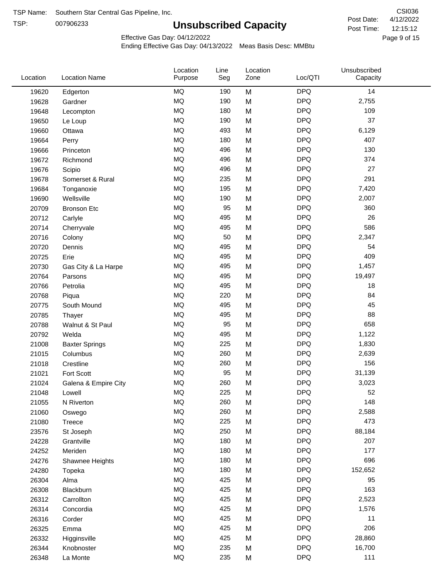TSP:

# **Unsubscribed Capacity**

4/12/2022 Page 9 of 15 12:15:12 CSI036 Post Date: Post Time:

Effective Gas Day: 04/12/2022

| <b>DPQ</b><br><b>MQ</b><br>14<br>190<br>M<br>19620<br>Edgerton<br>MQ<br><b>DPQ</b><br>190<br>2,755<br>M<br>19628<br>Gardner<br>MQ<br>180<br><b>DPQ</b><br>109<br>M<br>19648<br>Lecompton<br><b>MQ</b><br><b>DPQ</b><br>37<br>190<br>19650<br>M<br>Le Loup<br><b>DPQ</b><br>MQ<br>493<br>M<br>6,129<br>19660<br>Ottawa<br><b>MQ</b><br><b>DPQ</b><br>407<br>180<br>19664<br>M<br>Perry<br>MQ<br><b>DPQ</b><br>130<br>496<br>M<br>19666<br>Princeton<br>MQ<br><b>DPQ</b><br>374<br>496<br>19672<br>M<br>Richmond<br><b>DPQ</b><br>MQ<br>27<br>19676<br>496<br>M<br>Scipio<br>MQ<br>235<br>M<br><b>DPQ</b><br>291<br>19678<br>Somerset & Rural<br>MQ<br><b>DPQ</b><br>195<br>M<br>7,420<br>19684<br>Tonganoxie<br>MQ<br><b>DPQ</b><br>190<br>M<br>2,007<br>19690<br>Wellsville<br><b>MQ</b><br>95<br><b>DPQ</b><br>360<br>20709<br>M<br><b>Bronson Etc</b><br><b>DPQ</b><br><b>MQ</b><br>495<br>26<br>M<br>20712<br>Carlyle<br><b>MQ</b><br><b>DPQ</b><br>586<br>495<br>M<br>20714<br>Cherryvale<br><b>DPQ</b><br><b>MQ</b><br>M<br>50<br>2,347<br>20716<br>Colony<br>MQ<br><b>DPQ</b><br>495<br>54<br>20720<br>M<br>Dennis<br>MQ<br><b>DPQ</b><br>409<br>495<br>M<br>20725<br>Erie<br>MQ<br><b>DPQ</b><br>495<br>M<br>1,457<br>20730<br>Gas City & La Harpe<br>MQ<br><b>DPQ</b><br>495<br>M<br>19,497<br>20764<br>Parsons<br><b>MQ</b><br><b>DPQ</b><br>495<br>18<br>20766<br>Petrolia<br>M<br><b>MQ</b><br><b>DPQ</b><br>84<br>220<br>M<br>20768<br>Piqua<br><b>DPQ</b><br><b>MQ</b><br>45<br>495<br>20775<br>M<br>South Mound<br><b>MQ</b><br><b>DPQ</b><br>88<br>495<br>M<br>20785<br>Thayer<br>MQ<br>95<br>M<br><b>DPQ</b><br>658<br>20788<br>Walnut & St Paul<br>MQ<br><b>DPQ</b><br>495<br>1,122<br>20792<br>M<br>Welda<br>MQ<br><b>DPQ</b><br>225<br>M<br>1,830<br>21008<br><b>Baxter Springs</b><br>MQ<br><b>DPQ</b><br>260<br>2,639<br>21015<br>Columbus<br>M<br>MQ<br><b>DPQ</b><br>156<br>260<br>M<br>21018<br>Crestline<br><b>MQ</b><br><b>DPQ</b><br>95<br>31,139<br>Fort Scott<br>M<br>21021<br><b>MQ</b><br>260<br><b>DPQ</b><br>M<br>3,023<br>21024<br>Galena & Empire City<br><b>DPQ</b><br><b>MQ</b><br>225<br>52<br>21048<br>M<br>Lowell<br>MQ<br>260<br><b>DPQ</b><br>148<br>M<br>21055<br>N Riverton<br>$\sf{MQ}$<br><b>DPQ</b><br>260<br>2,588<br>M<br>21060<br>Oswego<br>MQ<br><b>DPQ</b><br>473<br>225<br>M<br>21080<br>Treece<br>MQ<br>250<br><b>DPQ</b><br>88,184<br>23576<br>St Joseph<br>M<br>MQ<br><b>DPQ</b><br>207<br>180<br>M<br>24228<br>Grantville<br>MQ<br><b>DPQ</b><br>177<br>180<br>24252<br>M<br>Meriden<br>$\sf{MQ}$<br><b>DPQ</b><br>696<br>180<br>M<br>24276<br>Shawnee Heights<br>$\sf{MQ}$<br><b>DPQ</b><br>180<br>152,652<br>24280<br>M<br>Topeka<br>MQ<br><b>DPQ</b><br>425<br>95<br>26304<br>Alma<br>M<br>MQ<br><b>DPQ</b><br>163<br>425<br>26308<br>M<br>Blackburn<br>MQ<br><b>DPQ</b><br>425<br>2,523<br>26312<br>Carrollton<br>M<br>$\sf{MQ}$<br><b>DPQ</b><br>425<br>M<br>1,576<br>26314<br>Concordia<br>$\sf{MQ}$<br><b>DPQ</b><br>425<br>11<br>26316<br>Corder<br>M<br>MQ<br><b>DPQ</b><br>206<br>425<br>26325<br>M<br>Emma<br>MQ<br><b>DPQ</b><br>425<br>28,860<br>26332<br>M<br>Higginsville<br>$\sf{MQ}$<br><b>DPQ</b><br>235<br>M<br>16,700<br>26344<br>Knobnoster<br>$\sf{MQ}$<br><b>DPQ</b><br>111<br>235<br>26348<br>M<br>La Monte | Location | <b>Location Name</b> | Location<br>Purpose | Line<br>Seg | Location<br>Zone | Loc/QTI | Unsubscribed<br>Capacity |  |
|----------------------------------------------------------------------------------------------------------------------------------------------------------------------------------------------------------------------------------------------------------------------------------------------------------------------------------------------------------------------------------------------------------------------------------------------------------------------------------------------------------------------------------------------------------------------------------------------------------------------------------------------------------------------------------------------------------------------------------------------------------------------------------------------------------------------------------------------------------------------------------------------------------------------------------------------------------------------------------------------------------------------------------------------------------------------------------------------------------------------------------------------------------------------------------------------------------------------------------------------------------------------------------------------------------------------------------------------------------------------------------------------------------------------------------------------------------------------------------------------------------------------------------------------------------------------------------------------------------------------------------------------------------------------------------------------------------------------------------------------------------------------------------------------------------------------------------------------------------------------------------------------------------------------------------------------------------------------------------------------------------------------------------------------------------------------------------------------------------------------------------------------------------------------------------------------------------------------------------------------------------------------------------------------------------------------------------------------------------------------------------------------------------------------------------------------------------------------------------------------------------------------------------------------------------------------------------------------------------------------------------------------------------------------------------------------------------------------------------------------------------------------------------------------------------------------------------------------------------------------------------------------------------------------------------------------------------------------------------------------------------------------------------------------------------------------------------------------------------------------------------------------------------------------------------------------------------------------------------------------------------------------------------------------|----------|----------------------|---------------------|-------------|------------------|---------|--------------------------|--|
|                                                                                                                                                                                                                                                                                                                                                                                                                                                                                                                                                                                                                                                                                                                                                                                                                                                                                                                                                                                                                                                                                                                                                                                                                                                                                                                                                                                                                                                                                                                                                                                                                                                                                                                                                                                                                                                                                                                                                                                                                                                                                                                                                                                                                                                                                                                                                                                                                                                                                                                                                                                                                                                                                                                                                                                                                                                                                                                                                                                                                                                                                                                                                                                                                                                                                              |          |                      |                     |             |                  |         |                          |  |
|                                                                                                                                                                                                                                                                                                                                                                                                                                                                                                                                                                                                                                                                                                                                                                                                                                                                                                                                                                                                                                                                                                                                                                                                                                                                                                                                                                                                                                                                                                                                                                                                                                                                                                                                                                                                                                                                                                                                                                                                                                                                                                                                                                                                                                                                                                                                                                                                                                                                                                                                                                                                                                                                                                                                                                                                                                                                                                                                                                                                                                                                                                                                                                                                                                                                                              |          |                      |                     |             |                  |         |                          |  |
|                                                                                                                                                                                                                                                                                                                                                                                                                                                                                                                                                                                                                                                                                                                                                                                                                                                                                                                                                                                                                                                                                                                                                                                                                                                                                                                                                                                                                                                                                                                                                                                                                                                                                                                                                                                                                                                                                                                                                                                                                                                                                                                                                                                                                                                                                                                                                                                                                                                                                                                                                                                                                                                                                                                                                                                                                                                                                                                                                                                                                                                                                                                                                                                                                                                                                              |          |                      |                     |             |                  |         |                          |  |
|                                                                                                                                                                                                                                                                                                                                                                                                                                                                                                                                                                                                                                                                                                                                                                                                                                                                                                                                                                                                                                                                                                                                                                                                                                                                                                                                                                                                                                                                                                                                                                                                                                                                                                                                                                                                                                                                                                                                                                                                                                                                                                                                                                                                                                                                                                                                                                                                                                                                                                                                                                                                                                                                                                                                                                                                                                                                                                                                                                                                                                                                                                                                                                                                                                                                                              |          |                      |                     |             |                  |         |                          |  |
|                                                                                                                                                                                                                                                                                                                                                                                                                                                                                                                                                                                                                                                                                                                                                                                                                                                                                                                                                                                                                                                                                                                                                                                                                                                                                                                                                                                                                                                                                                                                                                                                                                                                                                                                                                                                                                                                                                                                                                                                                                                                                                                                                                                                                                                                                                                                                                                                                                                                                                                                                                                                                                                                                                                                                                                                                                                                                                                                                                                                                                                                                                                                                                                                                                                                                              |          |                      |                     |             |                  |         |                          |  |
|                                                                                                                                                                                                                                                                                                                                                                                                                                                                                                                                                                                                                                                                                                                                                                                                                                                                                                                                                                                                                                                                                                                                                                                                                                                                                                                                                                                                                                                                                                                                                                                                                                                                                                                                                                                                                                                                                                                                                                                                                                                                                                                                                                                                                                                                                                                                                                                                                                                                                                                                                                                                                                                                                                                                                                                                                                                                                                                                                                                                                                                                                                                                                                                                                                                                                              |          |                      |                     |             |                  |         |                          |  |
|                                                                                                                                                                                                                                                                                                                                                                                                                                                                                                                                                                                                                                                                                                                                                                                                                                                                                                                                                                                                                                                                                                                                                                                                                                                                                                                                                                                                                                                                                                                                                                                                                                                                                                                                                                                                                                                                                                                                                                                                                                                                                                                                                                                                                                                                                                                                                                                                                                                                                                                                                                                                                                                                                                                                                                                                                                                                                                                                                                                                                                                                                                                                                                                                                                                                                              |          |                      |                     |             |                  |         |                          |  |
|                                                                                                                                                                                                                                                                                                                                                                                                                                                                                                                                                                                                                                                                                                                                                                                                                                                                                                                                                                                                                                                                                                                                                                                                                                                                                                                                                                                                                                                                                                                                                                                                                                                                                                                                                                                                                                                                                                                                                                                                                                                                                                                                                                                                                                                                                                                                                                                                                                                                                                                                                                                                                                                                                                                                                                                                                                                                                                                                                                                                                                                                                                                                                                                                                                                                                              |          |                      |                     |             |                  |         |                          |  |
|                                                                                                                                                                                                                                                                                                                                                                                                                                                                                                                                                                                                                                                                                                                                                                                                                                                                                                                                                                                                                                                                                                                                                                                                                                                                                                                                                                                                                                                                                                                                                                                                                                                                                                                                                                                                                                                                                                                                                                                                                                                                                                                                                                                                                                                                                                                                                                                                                                                                                                                                                                                                                                                                                                                                                                                                                                                                                                                                                                                                                                                                                                                                                                                                                                                                                              |          |                      |                     |             |                  |         |                          |  |
|                                                                                                                                                                                                                                                                                                                                                                                                                                                                                                                                                                                                                                                                                                                                                                                                                                                                                                                                                                                                                                                                                                                                                                                                                                                                                                                                                                                                                                                                                                                                                                                                                                                                                                                                                                                                                                                                                                                                                                                                                                                                                                                                                                                                                                                                                                                                                                                                                                                                                                                                                                                                                                                                                                                                                                                                                                                                                                                                                                                                                                                                                                                                                                                                                                                                                              |          |                      |                     |             |                  |         |                          |  |
|                                                                                                                                                                                                                                                                                                                                                                                                                                                                                                                                                                                                                                                                                                                                                                                                                                                                                                                                                                                                                                                                                                                                                                                                                                                                                                                                                                                                                                                                                                                                                                                                                                                                                                                                                                                                                                                                                                                                                                                                                                                                                                                                                                                                                                                                                                                                                                                                                                                                                                                                                                                                                                                                                                                                                                                                                                                                                                                                                                                                                                                                                                                                                                                                                                                                                              |          |                      |                     |             |                  |         |                          |  |
|                                                                                                                                                                                                                                                                                                                                                                                                                                                                                                                                                                                                                                                                                                                                                                                                                                                                                                                                                                                                                                                                                                                                                                                                                                                                                                                                                                                                                                                                                                                                                                                                                                                                                                                                                                                                                                                                                                                                                                                                                                                                                                                                                                                                                                                                                                                                                                                                                                                                                                                                                                                                                                                                                                                                                                                                                                                                                                                                                                                                                                                                                                                                                                                                                                                                                              |          |                      |                     |             |                  |         |                          |  |
|                                                                                                                                                                                                                                                                                                                                                                                                                                                                                                                                                                                                                                                                                                                                                                                                                                                                                                                                                                                                                                                                                                                                                                                                                                                                                                                                                                                                                                                                                                                                                                                                                                                                                                                                                                                                                                                                                                                                                                                                                                                                                                                                                                                                                                                                                                                                                                                                                                                                                                                                                                                                                                                                                                                                                                                                                                                                                                                                                                                                                                                                                                                                                                                                                                                                                              |          |                      |                     |             |                  |         |                          |  |
|                                                                                                                                                                                                                                                                                                                                                                                                                                                                                                                                                                                                                                                                                                                                                                                                                                                                                                                                                                                                                                                                                                                                                                                                                                                                                                                                                                                                                                                                                                                                                                                                                                                                                                                                                                                                                                                                                                                                                                                                                                                                                                                                                                                                                                                                                                                                                                                                                                                                                                                                                                                                                                                                                                                                                                                                                                                                                                                                                                                                                                                                                                                                                                                                                                                                                              |          |                      |                     |             |                  |         |                          |  |
|                                                                                                                                                                                                                                                                                                                                                                                                                                                                                                                                                                                                                                                                                                                                                                                                                                                                                                                                                                                                                                                                                                                                                                                                                                                                                                                                                                                                                                                                                                                                                                                                                                                                                                                                                                                                                                                                                                                                                                                                                                                                                                                                                                                                                                                                                                                                                                                                                                                                                                                                                                                                                                                                                                                                                                                                                                                                                                                                                                                                                                                                                                                                                                                                                                                                                              |          |                      |                     |             |                  |         |                          |  |
|                                                                                                                                                                                                                                                                                                                                                                                                                                                                                                                                                                                                                                                                                                                                                                                                                                                                                                                                                                                                                                                                                                                                                                                                                                                                                                                                                                                                                                                                                                                                                                                                                                                                                                                                                                                                                                                                                                                                                                                                                                                                                                                                                                                                                                                                                                                                                                                                                                                                                                                                                                                                                                                                                                                                                                                                                                                                                                                                                                                                                                                                                                                                                                                                                                                                                              |          |                      |                     |             |                  |         |                          |  |
|                                                                                                                                                                                                                                                                                                                                                                                                                                                                                                                                                                                                                                                                                                                                                                                                                                                                                                                                                                                                                                                                                                                                                                                                                                                                                                                                                                                                                                                                                                                                                                                                                                                                                                                                                                                                                                                                                                                                                                                                                                                                                                                                                                                                                                                                                                                                                                                                                                                                                                                                                                                                                                                                                                                                                                                                                                                                                                                                                                                                                                                                                                                                                                                                                                                                                              |          |                      |                     |             |                  |         |                          |  |
|                                                                                                                                                                                                                                                                                                                                                                                                                                                                                                                                                                                                                                                                                                                                                                                                                                                                                                                                                                                                                                                                                                                                                                                                                                                                                                                                                                                                                                                                                                                                                                                                                                                                                                                                                                                                                                                                                                                                                                                                                                                                                                                                                                                                                                                                                                                                                                                                                                                                                                                                                                                                                                                                                                                                                                                                                                                                                                                                                                                                                                                                                                                                                                                                                                                                                              |          |                      |                     |             |                  |         |                          |  |
|                                                                                                                                                                                                                                                                                                                                                                                                                                                                                                                                                                                                                                                                                                                                                                                                                                                                                                                                                                                                                                                                                                                                                                                                                                                                                                                                                                                                                                                                                                                                                                                                                                                                                                                                                                                                                                                                                                                                                                                                                                                                                                                                                                                                                                                                                                                                                                                                                                                                                                                                                                                                                                                                                                                                                                                                                                                                                                                                                                                                                                                                                                                                                                                                                                                                                              |          |                      |                     |             |                  |         |                          |  |
|                                                                                                                                                                                                                                                                                                                                                                                                                                                                                                                                                                                                                                                                                                                                                                                                                                                                                                                                                                                                                                                                                                                                                                                                                                                                                                                                                                                                                                                                                                                                                                                                                                                                                                                                                                                                                                                                                                                                                                                                                                                                                                                                                                                                                                                                                                                                                                                                                                                                                                                                                                                                                                                                                                                                                                                                                                                                                                                                                                                                                                                                                                                                                                                                                                                                                              |          |                      |                     |             |                  |         |                          |  |
|                                                                                                                                                                                                                                                                                                                                                                                                                                                                                                                                                                                                                                                                                                                                                                                                                                                                                                                                                                                                                                                                                                                                                                                                                                                                                                                                                                                                                                                                                                                                                                                                                                                                                                                                                                                                                                                                                                                                                                                                                                                                                                                                                                                                                                                                                                                                                                                                                                                                                                                                                                                                                                                                                                                                                                                                                                                                                                                                                                                                                                                                                                                                                                                                                                                                                              |          |                      |                     |             |                  |         |                          |  |
|                                                                                                                                                                                                                                                                                                                                                                                                                                                                                                                                                                                                                                                                                                                                                                                                                                                                                                                                                                                                                                                                                                                                                                                                                                                                                                                                                                                                                                                                                                                                                                                                                                                                                                                                                                                                                                                                                                                                                                                                                                                                                                                                                                                                                                                                                                                                                                                                                                                                                                                                                                                                                                                                                                                                                                                                                                                                                                                                                                                                                                                                                                                                                                                                                                                                                              |          |                      |                     |             |                  |         |                          |  |
|                                                                                                                                                                                                                                                                                                                                                                                                                                                                                                                                                                                                                                                                                                                                                                                                                                                                                                                                                                                                                                                                                                                                                                                                                                                                                                                                                                                                                                                                                                                                                                                                                                                                                                                                                                                                                                                                                                                                                                                                                                                                                                                                                                                                                                                                                                                                                                                                                                                                                                                                                                                                                                                                                                                                                                                                                                                                                                                                                                                                                                                                                                                                                                                                                                                                                              |          |                      |                     |             |                  |         |                          |  |
|                                                                                                                                                                                                                                                                                                                                                                                                                                                                                                                                                                                                                                                                                                                                                                                                                                                                                                                                                                                                                                                                                                                                                                                                                                                                                                                                                                                                                                                                                                                                                                                                                                                                                                                                                                                                                                                                                                                                                                                                                                                                                                                                                                                                                                                                                                                                                                                                                                                                                                                                                                                                                                                                                                                                                                                                                                                                                                                                                                                                                                                                                                                                                                                                                                                                                              |          |                      |                     |             |                  |         |                          |  |
|                                                                                                                                                                                                                                                                                                                                                                                                                                                                                                                                                                                                                                                                                                                                                                                                                                                                                                                                                                                                                                                                                                                                                                                                                                                                                                                                                                                                                                                                                                                                                                                                                                                                                                                                                                                                                                                                                                                                                                                                                                                                                                                                                                                                                                                                                                                                                                                                                                                                                                                                                                                                                                                                                                                                                                                                                                                                                                                                                                                                                                                                                                                                                                                                                                                                                              |          |                      |                     |             |                  |         |                          |  |
|                                                                                                                                                                                                                                                                                                                                                                                                                                                                                                                                                                                                                                                                                                                                                                                                                                                                                                                                                                                                                                                                                                                                                                                                                                                                                                                                                                                                                                                                                                                                                                                                                                                                                                                                                                                                                                                                                                                                                                                                                                                                                                                                                                                                                                                                                                                                                                                                                                                                                                                                                                                                                                                                                                                                                                                                                                                                                                                                                                                                                                                                                                                                                                                                                                                                                              |          |                      |                     |             |                  |         |                          |  |
|                                                                                                                                                                                                                                                                                                                                                                                                                                                                                                                                                                                                                                                                                                                                                                                                                                                                                                                                                                                                                                                                                                                                                                                                                                                                                                                                                                                                                                                                                                                                                                                                                                                                                                                                                                                                                                                                                                                                                                                                                                                                                                                                                                                                                                                                                                                                                                                                                                                                                                                                                                                                                                                                                                                                                                                                                                                                                                                                                                                                                                                                                                                                                                                                                                                                                              |          |                      |                     |             |                  |         |                          |  |
|                                                                                                                                                                                                                                                                                                                                                                                                                                                                                                                                                                                                                                                                                                                                                                                                                                                                                                                                                                                                                                                                                                                                                                                                                                                                                                                                                                                                                                                                                                                                                                                                                                                                                                                                                                                                                                                                                                                                                                                                                                                                                                                                                                                                                                                                                                                                                                                                                                                                                                                                                                                                                                                                                                                                                                                                                                                                                                                                                                                                                                                                                                                                                                                                                                                                                              |          |                      |                     |             |                  |         |                          |  |
|                                                                                                                                                                                                                                                                                                                                                                                                                                                                                                                                                                                                                                                                                                                                                                                                                                                                                                                                                                                                                                                                                                                                                                                                                                                                                                                                                                                                                                                                                                                                                                                                                                                                                                                                                                                                                                                                                                                                                                                                                                                                                                                                                                                                                                                                                                                                                                                                                                                                                                                                                                                                                                                                                                                                                                                                                                                                                                                                                                                                                                                                                                                                                                                                                                                                                              |          |                      |                     |             |                  |         |                          |  |
|                                                                                                                                                                                                                                                                                                                                                                                                                                                                                                                                                                                                                                                                                                                                                                                                                                                                                                                                                                                                                                                                                                                                                                                                                                                                                                                                                                                                                                                                                                                                                                                                                                                                                                                                                                                                                                                                                                                                                                                                                                                                                                                                                                                                                                                                                                                                                                                                                                                                                                                                                                                                                                                                                                                                                                                                                                                                                                                                                                                                                                                                                                                                                                                                                                                                                              |          |                      |                     |             |                  |         |                          |  |
|                                                                                                                                                                                                                                                                                                                                                                                                                                                                                                                                                                                                                                                                                                                                                                                                                                                                                                                                                                                                                                                                                                                                                                                                                                                                                                                                                                                                                                                                                                                                                                                                                                                                                                                                                                                                                                                                                                                                                                                                                                                                                                                                                                                                                                                                                                                                                                                                                                                                                                                                                                                                                                                                                                                                                                                                                                                                                                                                                                                                                                                                                                                                                                                                                                                                                              |          |                      |                     |             |                  |         |                          |  |
|                                                                                                                                                                                                                                                                                                                                                                                                                                                                                                                                                                                                                                                                                                                                                                                                                                                                                                                                                                                                                                                                                                                                                                                                                                                                                                                                                                                                                                                                                                                                                                                                                                                                                                                                                                                                                                                                                                                                                                                                                                                                                                                                                                                                                                                                                                                                                                                                                                                                                                                                                                                                                                                                                                                                                                                                                                                                                                                                                                                                                                                                                                                                                                                                                                                                                              |          |                      |                     |             |                  |         |                          |  |
|                                                                                                                                                                                                                                                                                                                                                                                                                                                                                                                                                                                                                                                                                                                                                                                                                                                                                                                                                                                                                                                                                                                                                                                                                                                                                                                                                                                                                                                                                                                                                                                                                                                                                                                                                                                                                                                                                                                                                                                                                                                                                                                                                                                                                                                                                                                                                                                                                                                                                                                                                                                                                                                                                                                                                                                                                                                                                                                                                                                                                                                                                                                                                                                                                                                                                              |          |                      |                     |             |                  |         |                          |  |
|                                                                                                                                                                                                                                                                                                                                                                                                                                                                                                                                                                                                                                                                                                                                                                                                                                                                                                                                                                                                                                                                                                                                                                                                                                                                                                                                                                                                                                                                                                                                                                                                                                                                                                                                                                                                                                                                                                                                                                                                                                                                                                                                                                                                                                                                                                                                                                                                                                                                                                                                                                                                                                                                                                                                                                                                                                                                                                                                                                                                                                                                                                                                                                                                                                                                                              |          |                      |                     |             |                  |         |                          |  |
|                                                                                                                                                                                                                                                                                                                                                                                                                                                                                                                                                                                                                                                                                                                                                                                                                                                                                                                                                                                                                                                                                                                                                                                                                                                                                                                                                                                                                                                                                                                                                                                                                                                                                                                                                                                                                                                                                                                                                                                                                                                                                                                                                                                                                                                                                                                                                                                                                                                                                                                                                                                                                                                                                                                                                                                                                                                                                                                                                                                                                                                                                                                                                                                                                                                                                              |          |                      |                     |             |                  |         |                          |  |
|                                                                                                                                                                                                                                                                                                                                                                                                                                                                                                                                                                                                                                                                                                                                                                                                                                                                                                                                                                                                                                                                                                                                                                                                                                                                                                                                                                                                                                                                                                                                                                                                                                                                                                                                                                                                                                                                                                                                                                                                                                                                                                                                                                                                                                                                                                                                                                                                                                                                                                                                                                                                                                                                                                                                                                                                                                                                                                                                                                                                                                                                                                                                                                                                                                                                                              |          |                      |                     |             |                  |         |                          |  |
|                                                                                                                                                                                                                                                                                                                                                                                                                                                                                                                                                                                                                                                                                                                                                                                                                                                                                                                                                                                                                                                                                                                                                                                                                                                                                                                                                                                                                                                                                                                                                                                                                                                                                                                                                                                                                                                                                                                                                                                                                                                                                                                                                                                                                                                                                                                                                                                                                                                                                                                                                                                                                                                                                                                                                                                                                                                                                                                                                                                                                                                                                                                                                                                                                                                                                              |          |                      |                     |             |                  |         |                          |  |
|                                                                                                                                                                                                                                                                                                                                                                                                                                                                                                                                                                                                                                                                                                                                                                                                                                                                                                                                                                                                                                                                                                                                                                                                                                                                                                                                                                                                                                                                                                                                                                                                                                                                                                                                                                                                                                                                                                                                                                                                                                                                                                                                                                                                                                                                                                                                                                                                                                                                                                                                                                                                                                                                                                                                                                                                                                                                                                                                                                                                                                                                                                                                                                                                                                                                                              |          |                      |                     |             |                  |         |                          |  |
|                                                                                                                                                                                                                                                                                                                                                                                                                                                                                                                                                                                                                                                                                                                                                                                                                                                                                                                                                                                                                                                                                                                                                                                                                                                                                                                                                                                                                                                                                                                                                                                                                                                                                                                                                                                                                                                                                                                                                                                                                                                                                                                                                                                                                                                                                                                                                                                                                                                                                                                                                                                                                                                                                                                                                                                                                                                                                                                                                                                                                                                                                                                                                                                                                                                                                              |          |                      |                     |             |                  |         |                          |  |
|                                                                                                                                                                                                                                                                                                                                                                                                                                                                                                                                                                                                                                                                                                                                                                                                                                                                                                                                                                                                                                                                                                                                                                                                                                                                                                                                                                                                                                                                                                                                                                                                                                                                                                                                                                                                                                                                                                                                                                                                                                                                                                                                                                                                                                                                                                                                                                                                                                                                                                                                                                                                                                                                                                                                                                                                                                                                                                                                                                                                                                                                                                                                                                                                                                                                                              |          |                      |                     |             |                  |         |                          |  |
|                                                                                                                                                                                                                                                                                                                                                                                                                                                                                                                                                                                                                                                                                                                                                                                                                                                                                                                                                                                                                                                                                                                                                                                                                                                                                                                                                                                                                                                                                                                                                                                                                                                                                                                                                                                                                                                                                                                                                                                                                                                                                                                                                                                                                                                                                                                                                                                                                                                                                                                                                                                                                                                                                                                                                                                                                                                                                                                                                                                                                                                                                                                                                                                                                                                                                              |          |                      |                     |             |                  |         |                          |  |
|                                                                                                                                                                                                                                                                                                                                                                                                                                                                                                                                                                                                                                                                                                                                                                                                                                                                                                                                                                                                                                                                                                                                                                                                                                                                                                                                                                                                                                                                                                                                                                                                                                                                                                                                                                                                                                                                                                                                                                                                                                                                                                                                                                                                                                                                                                                                                                                                                                                                                                                                                                                                                                                                                                                                                                                                                                                                                                                                                                                                                                                                                                                                                                                                                                                                                              |          |                      |                     |             |                  |         |                          |  |
|                                                                                                                                                                                                                                                                                                                                                                                                                                                                                                                                                                                                                                                                                                                                                                                                                                                                                                                                                                                                                                                                                                                                                                                                                                                                                                                                                                                                                                                                                                                                                                                                                                                                                                                                                                                                                                                                                                                                                                                                                                                                                                                                                                                                                                                                                                                                                                                                                                                                                                                                                                                                                                                                                                                                                                                                                                                                                                                                                                                                                                                                                                                                                                                                                                                                                              |          |                      |                     |             |                  |         |                          |  |
|                                                                                                                                                                                                                                                                                                                                                                                                                                                                                                                                                                                                                                                                                                                                                                                                                                                                                                                                                                                                                                                                                                                                                                                                                                                                                                                                                                                                                                                                                                                                                                                                                                                                                                                                                                                                                                                                                                                                                                                                                                                                                                                                                                                                                                                                                                                                                                                                                                                                                                                                                                                                                                                                                                                                                                                                                                                                                                                                                                                                                                                                                                                                                                                                                                                                                              |          |                      |                     |             |                  |         |                          |  |
|                                                                                                                                                                                                                                                                                                                                                                                                                                                                                                                                                                                                                                                                                                                                                                                                                                                                                                                                                                                                                                                                                                                                                                                                                                                                                                                                                                                                                                                                                                                                                                                                                                                                                                                                                                                                                                                                                                                                                                                                                                                                                                                                                                                                                                                                                                                                                                                                                                                                                                                                                                                                                                                                                                                                                                                                                                                                                                                                                                                                                                                                                                                                                                                                                                                                                              |          |                      |                     |             |                  |         |                          |  |
|                                                                                                                                                                                                                                                                                                                                                                                                                                                                                                                                                                                                                                                                                                                                                                                                                                                                                                                                                                                                                                                                                                                                                                                                                                                                                                                                                                                                                                                                                                                                                                                                                                                                                                                                                                                                                                                                                                                                                                                                                                                                                                                                                                                                                                                                                                                                                                                                                                                                                                                                                                                                                                                                                                                                                                                                                                                                                                                                                                                                                                                                                                                                                                                                                                                                                              |          |                      |                     |             |                  |         |                          |  |
|                                                                                                                                                                                                                                                                                                                                                                                                                                                                                                                                                                                                                                                                                                                                                                                                                                                                                                                                                                                                                                                                                                                                                                                                                                                                                                                                                                                                                                                                                                                                                                                                                                                                                                                                                                                                                                                                                                                                                                                                                                                                                                                                                                                                                                                                                                                                                                                                                                                                                                                                                                                                                                                                                                                                                                                                                                                                                                                                                                                                                                                                                                                                                                                                                                                                                              |          |                      |                     |             |                  |         |                          |  |
|                                                                                                                                                                                                                                                                                                                                                                                                                                                                                                                                                                                                                                                                                                                                                                                                                                                                                                                                                                                                                                                                                                                                                                                                                                                                                                                                                                                                                                                                                                                                                                                                                                                                                                                                                                                                                                                                                                                                                                                                                                                                                                                                                                                                                                                                                                                                                                                                                                                                                                                                                                                                                                                                                                                                                                                                                                                                                                                                                                                                                                                                                                                                                                                                                                                                                              |          |                      |                     |             |                  |         |                          |  |
|                                                                                                                                                                                                                                                                                                                                                                                                                                                                                                                                                                                                                                                                                                                                                                                                                                                                                                                                                                                                                                                                                                                                                                                                                                                                                                                                                                                                                                                                                                                                                                                                                                                                                                                                                                                                                                                                                                                                                                                                                                                                                                                                                                                                                                                                                                                                                                                                                                                                                                                                                                                                                                                                                                                                                                                                                                                                                                                                                                                                                                                                                                                                                                                                                                                                                              |          |                      |                     |             |                  |         |                          |  |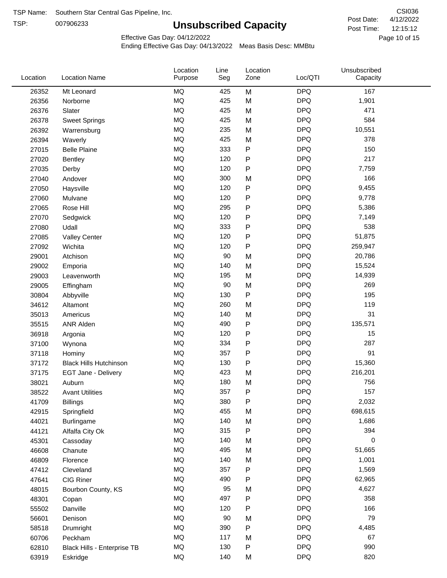TSP:

# **Unsubscribed Capacity**

4/12/2022 Page 10 of 15 12:15:12 CSI036 Post Date: Post Time:

Effective Gas Day: 04/12/2022

| Location | <b>Location Name</b>          | Location<br>Purpose | Line<br>Seg | Location<br>Zone | Loc/QTI    | Unsubscribed<br>Capacity |  |
|----------|-------------------------------|---------------------|-------------|------------------|------------|--------------------------|--|
| 26352    | Mt Leonard                    | <b>MQ</b>           | 425         | M                | <b>DPQ</b> | 167                      |  |
| 26356    | Norborne                      | MQ                  | 425         | M                | <b>DPQ</b> | 1,901                    |  |
| 26376    | Slater                        | MQ                  | 425         | M                | <b>DPQ</b> | 471                      |  |
| 26378    | <b>Sweet Springs</b>          | MQ                  | 425         | M                | <b>DPQ</b> | 584                      |  |
| 26392    | Warrensburg                   | MQ                  | 235         | M                | <b>DPQ</b> | 10,551                   |  |
| 26394    | Waverly                       | <b>MQ</b>           | 425         | M                | <b>DPQ</b> | 378                      |  |
| 27015    | <b>Belle Plaine</b>           | <b>MQ</b>           | 333         | ${\sf P}$        | <b>DPQ</b> | 150                      |  |
| 27020    | <b>Bentley</b>                | <b>MQ</b>           | 120         | ${\sf P}$        | <b>DPQ</b> | 217                      |  |
| 27035    | Derby                         | MQ                  | 120         | P                | <b>DPQ</b> | 7,759                    |  |
| 27040    | Andover                       | MQ                  | 300         | M                | <b>DPQ</b> | 166                      |  |
| 27050    | Haysville                     | MQ                  | 120         | ${\sf P}$        | <b>DPQ</b> | 9,455                    |  |
| 27060    | Mulvane                       | MQ                  | 120         | ${\sf P}$        | <b>DPQ</b> | 9,778                    |  |
| 27065    | Rose Hill                     | MQ                  | 295         | ${\sf P}$        | <b>DPQ</b> | 5,386                    |  |
| 27070    | Sedgwick                      | <b>MQ</b>           | 120         | P                | <b>DPQ</b> | 7,149                    |  |
| 27080    | Udall                         | <b>MQ</b>           | 333         | ${\sf P}$        | <b>DPQ</b> | 538                      |  |
| 27085    | <b>Valley Center</b>          | MQ                  | 120         | ${\sf P}$        | <b>DPQ</b> | 51,875                   |  |
| 27092    | Wichita                       | MQ                  | 120         | ${\sf P}$        | <b>DPQ</b> | 259,947                  |  |
| 29001    | Atchison                      | <b>MQ</b>           | 90          | M                | <b>DPQ</b> | 20,786                   |  |
| 29002    | Emporia                       | <b>MQ</b>           | 140         | M                | <b>DPQ</b> | 15,524                   |  |
| 29003    | Leavenworth                   | MQ                  | 195         | M                | <b>DPQ</b> | 14,939                   |  |
| 29005    | Effingham                     | MQ                  | 90          | M                | <b>DPQ</b> | 269                      |  |
| 30804    | Abbyville                     | <b>MQ</b>           | 130         | $\sf P$          | <b>DPQ</b> | 195                      |  |
| 34612    | Altamont                      | <b>MQ</b>           | 260         | M                | <b>DPQ</b> | 119                      |  |
| 35013    | Americus                      | <b>MQ</b>           | 140         | M                | <b>DPQ</b> | 31                       |  |
| 35515    | <b>ANR Alden</b>              | MQ                  | 490         | ${\sf P}$        | <b>DPQ</b> | 135,571                  |  |
| 36918    | Argonia                       | MQ                  | 120         | ${\sf P}$        | <b>DPQ</b> | 15                       |  |
| 37100    | Wynona                        | <b>MQ</b>           | 334         | ${\sf P}$        | <b>DPQ</b> | 287                      |  |
| 37118    | Hominy                        | <b>MQ</b>           | 357         | P                | <b>DPQ</b> | 91                       |  |
| 37172    | <b>Black Hills Hutchinson</b> | MQ                  | 130         | ${\sf P}$        | <b>DPQ</b> | 15,360                   |  |
| 37175    | EGT Jane - Delivery           | MQ                  | 423         | M                | <b>DPQ</b> | 216,201                  |  |
| 38021    | Auburn                        | MQ                  | 180         | M                | <b>DPQ</b> | 756                      |  |
| 38522    | <b>Avant Utilities</b>        | MQ                  | 357         | P                | <b>DPQ</b> | 157                      |  |
| 41709    | <b>Billings</b>               | MQ                  | 380         | ${\sf P}$        | <b>DPQ</b> | 2,032                    |  |
| 42915    | Springfield                   | $\sf{MQ}$           | 455         | M                | <b>DPQ</b> | 698,615                  |  |
| 44021    | Burlingame                    | $\sf{MQ}$           | 140         | M                | <b>DPQ</b> | 1,686                    |  |
| 44121    | Alfalfa City Ok               | MQ                  | 315         | ${\sf P}$        | <b>DPQ</b> | 394                      |  |
| 45301    | Cassoday                      | MQ                  | 140         | M                | <b>DPQ</b> | 0                        |  |
| 46608    | Chanute                       | MQ                  | 495         | M                | <b>DPQ</b> | 51,665                   |  |
| 46809    | Florence                      | MQ                  | 140         | M                | <b>DPQ</b> | 1,001                    |  |
| 47412    | Cleveland                     | $\sf{MQ}$           | 357         | ${\sf P}$        | <b>DPQ</b> | 1,569                    |  |
| 47641    | CIG Riner                     | MQ                  | 490         | ${\sf P}$        | <b>DPQ</b> | 62,965                   |  |
| 48015    | Bourbon County, KS            | MQ                  | 95          | M                | <b>DPQ</b> | 4,627                    |  |
| 48301    | Copan                         | MQ                  | 497         | ${\sf P}$        | <b>DPQ</b> | 358                      |  |
| 55502    | Danville                      | $\sf{MQ}$           | 120         | P                | <b>DPQ</b> | 166                      |  |
| 56601    | Denison                       | MQ                  | 90          | M                | <b>DPQ</b> | 79                       |  |
| 58518    | Drumright                     | MQ                  | 390         | ${\sf P}$        | <b>DPQ</b> | 4,485                    |  |
| 60706    | Peckham                       | MQ                  | 117         | M                | <b>DPQ</b> | 67                       |  |
| 62810    | Black Hills - Enterprise TB   | $\sf{MQ}$           | 130         | P                | <b>DPQ</b> | 990                      |  |
| 63919    | Eskridge                      | $\sf{MQ}$           | 140         | M                | <b>DPQ</b> | 820                      |  |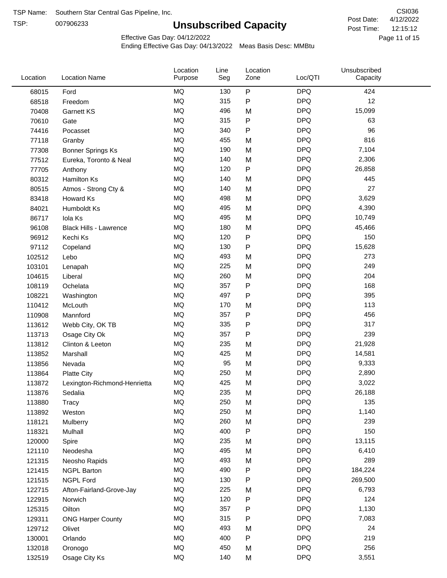TSP:

# **Unsubscribed Capacity**

4/12/2022 Page 11 of 15 12:15:12 CSI036 Post Date: Post Time:

Unsubscribed

Effective Gas Day: 04/12/2022

Location

Ending Effective Gas Day: 04/13/2022 Meas Basis Desc: MMBtu

Line

Location

| Location | <b>Location Name</b>         | Purpose   | Seg | Zone | Loc/QTI    | Capacity |  |
|----------|------------------------------|-----------|-----|------|------------|----------|--|
| 68015    | Ford                         | MQ        | 130 | P    | <b>DPQ</b> | 424      |  |
| 68518    | Freedom                      | MQ        | 315 | P    | <b>DPQ</b> | 12       |  |
| 70408    | Garnett KS                   | MQ        | 496 | M    | <b>DPQ</b> | 15,099   |  |
| 70610    | Gate                         | <b>MQ</b> | 315 | P    | <b>DPQ</b> | 63       |  |
| 74416    | Pocasset                     | <b>MQ</b> | 340 | P    | <b>DPQ</b> | 96       |  |
| 77118    | Granby                       | MQ        | 455 | M    | <b>DPQ</b> | 816      |  |
| 77308    | <b>Bonner Springs Ks</b>     | MQ        | 190 | M    | <b>DPQ</b> | 7,104    |  |
| 77512    | Eureka, Toronto & Neal       | MQ        | 140 | M    | <b>DPQ</b> | 2,306    |  |
| 77705    | Anthony                      | MQ        | 120 | P    | <b>DPQ</b> | 26,858   |  |
| 80312    | Hamilton Ks                  | MQ        | 140 | M    | <b>DPQ</b> | 445      |  |
| 80515    | Atmos - Strong Cty &         | MQ        | 140 | M    | <b>DPQ</b> | 27       |  |
| 83418    | Howard Ks                    | <b>MQ</b> | 498 | M    | <b>DPQ</b> | 3,629    |  |
| 84021    | Humboldt Ks                  | MQ        | 495 | M    | <b>DPQ</b> | 4,390    |  |
| 86717    | Iola Ks                      | <b>MQ</b> | 495 | M    | <b>DPQ</b> | 10,749   |  |
| 96108    | Black Hills - Lawrence       | MQ        | 180 | M    | <b>DPQ</b> | 45,466   |  |
| 96912    | Kechi Ks                     | MQ        | 120 | P    | <b>DPQ</b> | 150      |  |
| 97112    | Copeland                     | MQ        | 130 | P    | <b>DPQ</b> | 15,628   |  |
| 102512   | Lebo                         | MQ        | 493 | M    | <b>DPQ</b> | 273      |  |
| 103101   | Lenapah                      | MQ        | 225 | M    | <b>DPQ</b> | 249      |  |
| 104615   | Liberal                      | MQ        | 260 | M    | <b>DPQ</b> | 204      |  |
| 108119   | Ochelata                     | MQ        | 357 | P    | <b>DPQ</b> | 168      |  |
| 108221   | Washington                   | MQ        | 497 | P    | <b>DPQ</b> | 395      |  |
| 110412   | McLouth                      | MQ        | 170 | M    | <b>DPQ</b> | 113      |  |
| 110908   | Mannford                     | MQ        | 357 | Ρ    | <b>DPQ</b> | 456      |  |
| 113612   | Webb City, OK TB             | MQ        | 335 | Ρ    | <b>DPQ</b> | 317      |  |
| 113713   | Osage City Ok                | MQ        | 357 | Ρ    | <b>DPQ</b> | 239      |  |
| 113812   | Clinton & Leeton             | MQ        | 235 | M    | <b>DPQ</b> | 21,928   |  |
| 113852   | Marshall                     | <b>MQ</b> | 425 | M    | <b>DPQ</b> | 14,581   |  |
| 113856   | Nevada                       | MQ        | 95  | M    | <b>DPQ</b> | 9,333    |  |
| 113864   | <b>Platte City</b>           | MQ        | 250 | M    | <b>DPQ</b> | 2,890    |  |
| 113872   | Lexington-Richmond-Henrietta | MQ        | 425 | M    | <b>DPQ</b> | 3,022    |  |
| 113876   | Sedalia                      | MQ        | 235 | M    | <b>DPQ</b> | 26,188   |  |
| 113880   | <b>Tracy</b>                 | $\sf{MQ}$ | 250 | M    | <b>DPQ</b> | 135      |  |
| 113892   | Weston                       | MQ        | 250 | M    | <b>DPQ</b> | 1,140    |  |
| 118121   | Mulberry                     | MQ        | 260 | M    | <b>DPQ</b> | 239      |  |
| 118321   | Mulhall                      | MQ        | 400 | P    | <b>DPQ</b> | 150      |  |
| 120000   | Spire                        | MQ        | 235 | M    | <b>DPQ</b> | 13,115   |  |
| 121110   | Neodesha                     | MQ        | 495 | M    | <b>DPQ</b> | 6,410    |  |
| 121315   | Neosho Rapids                | MQ        | 493 | M    | <b>DPQ</b> | 289      |  |
| 121415   | <b>NGPL Barton</b>           | MQ        | 490 | Ρ    | <b>DPQ</b> | 184,224  |  |
| 121515   | <b>NGPL Ford</b>             | MQ        | 130 | Ρ    | <b>DPQ</b> | 269,500  |  |
| 122715   | Afton-Fairland-Grove-Jay     | MQ        | 225 | M    | <b>DPQ</b> | 6,793    |  |
| 122915   | Norwich                      | MQ        | 120 | Ρ    | <b>DPQ</b> | 124      |  |
| 125315   | Oilton                       | MQ        | 357 | Ρ    | <b>DPQ</b> | 1,130    |  |
| 129311   | <b>ONG Harper County</b>     | MQ        | 315 | Ρ    | <b>DPQ</b> | 7,083    |  |
| 129712   | Olivet                       | MQ        | 493 | M    | <b>DPQ</b> | 24       |  |
| 130001   | Orlando                      | MQ        | 400 | P    | <b>DPQ</b> | 219      |  |
| 132018   | Oronogo                      | MQ        | 450 | M    | <b>DPQ</b> | 256      |  |
| 132519   | Osage City Ks                | MQ        | 140 | M    | <b>DPQ</b> | 3,551    |  |
|          |                              |           |     |      |            |          |  |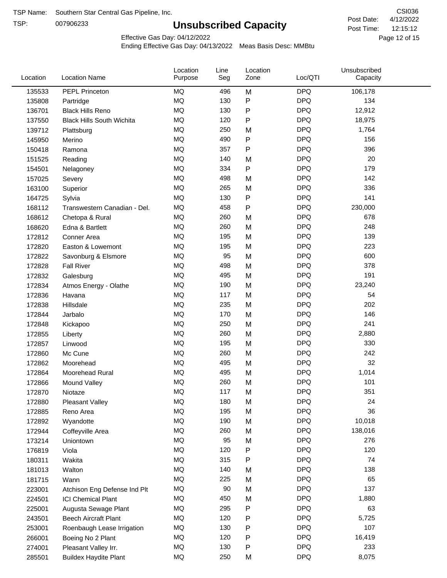TSP:

# **Unsubscribed Capacity**

4/12/2022 Page 12 of 15 12:15:12 CSI036 Post Date: Post Time:

Effective Gas Day: 04/12/2022

| Location | <b>Location Name</b>             | Location<br>Purpose | Line<br>Seg | Location<br>Zone | Loc/QTI    | Unsubscribed<br>Capacity |  |
|----------|----------------------------------|---------------------|-------------|------------------|------------|--------------------------|--|
| 135533   | PEPL Princeton                   | <b>MQ</b>           | 496         | M                | <b>DPQ</b> | 106,178                  |  |
| 135808   | Partridge                        | MQ                  | 130         | P                | <b>DPQ</b> | 134                      |  |
| 136701   | <b>Black Hills Reno</b>          | MQ                  | 130         | P                | <b>DPQ</b> | 12,912                   |  |
| 137550   | <b>Black Hills South Wichita</b> | <b>MQ</b>           | 120         | P                | <b>DPQ</b> | 18,975                   |  |
| 139712   | Plattsburg                       | <b>MQ</b>           | 250         | M                | <b>DPQ</b> | 1,764                    |  |
| 145950   | Merino                           | <b>MQ</b>           | 490         | P                | <b>DPQ</b> | 156                      |  |
| 150418   | Ramona                           | MQ                  | 357         | Ρ                | <b>DPQ</b> | 396                      |  |
| 151525   | Reading                          | <b>MQ</b>           | 140         | M                | <b>DPQ</b> | 20                       |  |
| 154501   | Nelagoney                        | MQ                  | 334         | $\mathsf{P}$     | <b>DPQ</b> | 179                      |  |
| 157025   | Severy                           | <b>MQ</b>           | 498         | M                | <b>DPQ</b> | 142                      |  |
| 163100   | Superior                         | <b>MQ</b>           | 265         | M                | <b>DPQ</b> | 336                      |  |
| 164725   | Sylvia                           | <b>MQ</b>           | 130         | P                | <b>DPQ</b> | 141                      |  |
| 168112   | Transwestern Canadian - Del.     | <b>MQ</b>           | 458         | P                | <b>DPQ</b> | 230,000                  |  |
| 168612   | Chetopa & Rural                  | MQ                  | 260         | M                | <b>DPQ</b> | 678                      |  |
| 168620   | Edna & Bartlett                  | MQ                  | 260         | M                | <b>DPQ</b> | 248                      |  |
| 172812   | Conner Area                      | MQ                  | 195         | M                | <b>DPQ</b> | 139                      |  |
| 172820   | Easton & Lowemont                | MQ                  | 195         | M                | <b>DPQ</b> | 223                      |  |
| 172822   | Savonburg & Elsmore              | MQ                  | 95          | M                | <b>DPQ</b> | 600                      |  |
| 172828   | <b>Fall River</b>                | <b>MQ</b>           | 498         | M                | <b>DPQ</b> | 378                      |  |
| 172832   | Galesburg                        | <b>MQ</b>           | 495         | M                | <b>DPQ</b> | 191                      |  |
| 172834   | Atmos Energy - Olathe            | <b>MQ</b>           | 190         | M                | <b>DPQ</b> | 23,240                   |  |
| 172836   | Havana                           | <b>MQ</b>           | 117         | M                | <b>DPQ</b> | 54                       |  |
| 172838   | Hillsdale                        | <b>MQ</b>           | 235         | M                | <b>DPQ</b> | 202                      |  |
| 172844   | Jarbalo                          | <b>MQ</b>           | 170         | M                | <b>DPQ</b> | 146                      |  |
| 172848   | Kickapoo                         | <b>MQ</b>           | 250         | M                | <b>DPQ</b> | 241                      |  |
| 172855   | Liberty                          | <b>MQ</b>           | 260         | M                | <b>DPQ</b> | 2,880                    |  |
| 172857   | Linwood                          | <b>MQ</b>           | 195         | M                | <b>DPQ</b> | 330                      |  |
| 172860   | Mc Cune                          | MQ                  | 260         | M                | <b>DPQ</b> | 242                      |  |
| 172862   | Moorehead                        | <b>MQ</b>           | 495         | M                | <b>DPQ</b> | 32                       |  |
| 172864   | Moorehead Rural                  | <b>MQ</b>           | 495         | M                | <b>DPQ</b> | 1,014                    |  |
| 172866   | Mound Valley                     | <b>MQ</b>           | 260         | M                | <b>DPQ</b> | 101                      |  |
| 172870   | Niotaze                          | MQ                  | 117         | M                | <b>DPQ</b> | 351                      |  |
| 172880   | <b>Pleasant Valley</b>           | MQ                  | 180         | M                | <b>DPQ</b> | 24                       |  |
| 172885   | Reno Area                        | MQ                  | 195         | M                | <b>DPQ</b> | 36                       |  |
| 172892   | Wyandotte                        | MQ                  | 190         | M                | <b>DPQ</b> | 10,018                   |  |
| 172944   | Coffeyville Area                 | <b>MQ</b>           | 260         | M                | <b>DPQ</b> | 138,016                  |  |
| 173214   | Uniontown                        | MQ                  | 95          | M                | <b>DPQ</b> | 276                      |  |
| 176819   | Viola                            | MQ                  | 120         | Ρ                | <b>DPQ</b> | 120                      |  |
| 180311   | Wakita                           | MQ                  | 315         | Ρ                | <b>DPQ</b> | 74                       |  |
| 181013   | Walton                           | MQ                  | 140         | M                | <b>DPQ</b> | 138                      |  |
| 181715   | Wann                             | MQ                  | 225         | M                | <b>DPQ</b> | 65                       |  |
| 223001   | Atchison Eng Defense Ind Plt     | MQ                  | 90          | M                | <b>DPQ</b> | 137                      |  |
| 224501   | <b>ICI Chemical Plant</b>        | $\sf{MQ}$           | 450         | M                | <b>DPQ</b> | 1,880                    |  |
| 225001   | Augusta Sewage Plant             | MQ                  | 295         | P                | <b>DPQ</b> | 63                       |  |
| 243501   | <b>Beech Aircraft Plant</b>      | MQ                  | 120         | Ρ                | <b>DPQ</b> | 5,725                    |  |
| 253001   | Roenbaugh Lease Irrigation       | MQ                  | 130         | Ρ                | <b>DPQ</b> | 107                      |  |
| 266001   | Boeing No 2 Plant                | MQ                  | 120         | P                | <b>DPQ</b> | 16,419                   |  |
| 274001   | Pleasant Valley Irr.             | MQ                  | 130         | P                | <b>DPQ</b> | 233                      |  |
| 285501   | <b>Buildex Haydite Plant</b>     | MQ                  | 250         | M                | <b>DPQ</b> | 8,075                    |  |
|          |                                  |                     |             |                  |            |                          |  |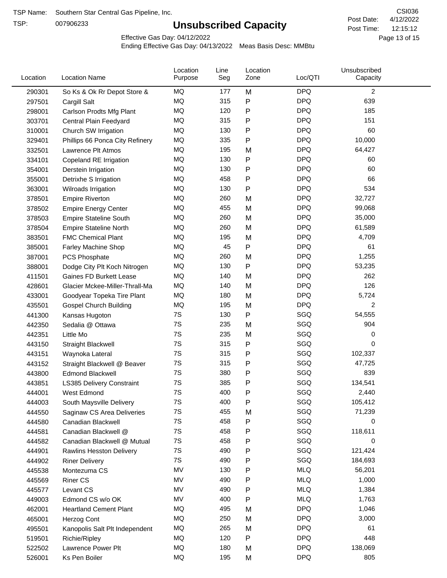TSP:

# **Unsubscribed Capacity**

4/12/2022 Page 13 of 15 12:15:12 CSI036 Post Date: Post Time:

Effective Gas Day: 04/12/2022

| Location | <b>Location Name</b>             | Location<br>Purpose | Line<br>Seg | Location<br>Zone | Loc/QTI    | Unsubscribed<br>Capacity |  |
|----------|----------------------------------|---------------------|-------------|------------------|------------|--------------------------|--|
| 290301   | So Ks & Ok Rr Depot Store &      | MQ                  | 177         | M                | <b>DPQ</b> | 2                        |  |
| 297501   | Cargill Salt                     | MQ                  | 315         | P                | <b>DPQ</b> | 639                      |  |
| 298001   | Carlson Prodts Mfg Plant         | MQ                  | 120         | P                | <b>DPQ</b> | 185                      |  |
| 303701   | Central Plain Feedyard           | MQ                  | 315         | P                | <b>DPQ</b> | 151                      |  |
| 310001   | Church SW Irrigation             | MQ                  | 130         | P                | <b>DPQ</b> | 60                       |  |
| 329401   | Phillips 66 Ponca City Refinery  | MQ                  | 335         | $\mathsf{P}$     | <b>DPQ</b> | 10,000                   |  |
| 332501   | Lawrence Plt Atmos               | MQ                  | 195         | M                | <b>DPQ</b> | 64,427                   |  |
| 334101   | Copeland RE Irrigation           | MQ                  | 130         | P                | <b>DPQ</b> | 60                       |  |
| 354001   | Derstein Irrigation              | MQ                  | 130         | P                | <b>DPQ</b> | 60                       |  |
| 355001   | Detrixhe S Irrigation            | MQ                  | 458         | P                | <b>DPQ</b> | 66                       |  |
| 363001   | Wilroads Irrigation              | MQ                  | 130         | P                | <b>DPQ</b> | 534                      |  |
| 378501   | <b>Empire Riverton</b>           | MQ                  | 260         | M                | <b>DPQ</b> | 32,727                   |  |
| 378502   | <b>Empire Energy Center</b>      | MQ                  | 455         | M                | <b>DPQ</b> | 99,068                   |  |
| 378503   | <b>Empire Stateline South</b>    | MQ                  | 260         | M                | <b>DPQ</b> | 35,000                   |  |
| 378504   | <b>Empire Stateline North</b>    | MQ                  | 260         | M                | <b>DPQ</b> | 61,589                   |  |
| 383501   | <b>FMC Chemical Plant</b>        | MQ                  | 195         | M                | <b>DPQ</b> | 4,709                    |  |
| 385001   | Farley Machine Shop              | MQ                  | 45          | $\mathsf{P}$     | <b>DPQ</b> | 61                       |  |
| 387001   | <b>PCS Phosphate</b>             | MQ                  | 260         | M                | <b>DPQ</b> | 1,255                    |  |
| 388001   | Dodge City Plt Koch Nitrogen     | MQ                  | 130         | P                | <b>DPQ</b> | 53,235                   |  |
| 411501   | Gaines FD Burkett Lease          | MQ                  | 140         | M                | <b>DPQ</b> | 262                      |  |
| 428601   | Glacier Mckee-Miller-Thrall-Ma   | MQ                  | 140         | M                | <b>DPQ</b> | 126                      |  |
| 433001   | Goodyear Topeka Tire Plant       | MQ                  | 180         | M                | <b>DPQ</b> | 5,724                    |  |
| 435501   | <b>Gospel Church Building</b>    | MQ                  | 195         | M                | <b>DPQ</b> | 2                        |  |
| 441300   | Kansas Hugoton                   | 7S                  | 130         | $\mathsf{P}$     | SGQ        | 54,555                   |  |
| 442350   | Sedalia @ Ottawa                 | 7S                  | 235         | M                | SGQ        | 904                      |  |
| 442351   | Little Mo                        | 7S                  | 235         | M                | SGQ        | 0                        |  |
| 443150   | <b>Straight Blackwell</b>        | 7S                  | 315         | P                | SGQ        | 0                        |  |
| 443151   | Waynoka Lateral                  | 7S                  | 315         | P                | SGQ        | 102,337                  |  |
| 443152   | Straight Blackwell @ Beaver      | 7S                  | 315         | P                | SGQ        | 47,725                   |  |
| 443800   | <b>Edmond Blackwell</b>          | 7S                  | 380         | P                | SGQ        | 839                      |  |
| 443851   | <b>LS385 Delivery Constraint</b> | 7S                  | 385         | Ρ                | SGQ        | 134,541                  |  |
| 444001   | West Edmond                      | 7S                  | 400         | P                | SGQ        | 2,440                    |  |
| 444003   | South Maysville Delivery         | 7S                  | 400         | P                | SGQ        | 105,412                  |  |
| 444550   | Saginaw CS Area Deliveries       | 7S                  | 455         | M                | SGQ        | 71,239                   |  |
| 444580   | Canadian Blackwell               | 7S                  | 458         | P                | SGQ        | 0                        |  |
| 444581   | Canadian Blackwell @             | 7S                  | 458         | P                | SGQ        | 118,611                  |  |
| 444582   | Canadian Blackwell @ Mutual      | 7S                  | 458         | P                | SGQ        | 0                        |  |
| 444901   | <b>Rawlins Hesston Delivery</b>  | 7S                  | 490         | P                | SGQ        | 121,424                  |  |
| 444902   | <b>Riner Delivery</b>            | 7S                  | 490         | P                | SGQ        | 184,693                  |  |
| 445538   | Montezuma CS                     | MV                  | 130         | P                | <b>MLQ</b> | 56,201                   |  |
| 445569   | <b>Riner CS</b>                  | MV                  | 490         | P                | <b>MLQ</b> | 1,000                    |  |
| 445577   | Levant CS                        | MV                  | 490         | P                | <b>MLQ</b> | 1,384                    |  |
| 449003   | Edmond CS w/o OK                 | MV                  | 400         | P                | <b>MLQ</b> | 1,763                    |  |
| 462001   | <b>Heartland Cement Plant</b>    | MQ                  | 495         | M                | <b>DPQ</b> | 1,046                    |  |
| 465001   | Herzog Cont                      | MQ                  | 250         | M                | <b>DPQ</b> | 3,000                    |  |
| 495501   | Kanopolis Salt Plt Independent   | MQ                  | 265         | M                | <b>DPQ</b> | 61                       |  |
| 519501   | Richie/Ripley                    | MQ                  | 120         | $\mathsf{P}$     | <b>DPQ</b> | 448                      |  |
| 522502   | Lawrence Power Plt               | MQ                  | 180         | M                | <b>DPQ</b> | 138,069                  |  |
| 526001   | Ks Pen Boiler                    | MQ                  | 195         | M                | <b>DPQ</b> | 805                      |  |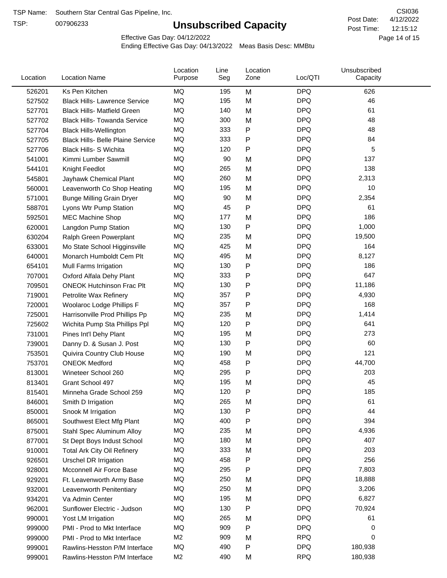TSP:

# **Unsubscribed Capacity**

4/12/2022 Page 14 of 15 12:15:12 CSI036 Post Date: Post Time:

Effective Gas Day: 04/12/2022

| Location | <b>Location Name</b>                     | Location<br>Purpose | Line<br>Seg | Location<br>Zone | Loc/QTI    | Unsubscribed<br>Capacity |  |
|----------|------------------------------------------|---------------------|-------------|------------------|------------|--------------------------|--|
| 526201   | Ks Pen Kitchen                           | MQ                  | 195         | M                | <b>DPQ</b> | 626                      |  |
| 527502   | <b>Black Hills- Lawrence Service</b>     | MQ                  | 195         | M                | <b>DPQ</b> | 46                       |  |
| 527701   | <b>Black Hills- Matfield Green</b>       | <b>MQ</b>           | 140         | M                | <b>DPQ</b> | 61                       |  |
| 527702   | <b>Black Hills- Towanda Service</b>      | MQ                  | 300         | M                | <b>DPQ</b> | 48                       |  |
| 527704   | <b>Black Hills-Wellington</b>            | MQ                  | 333         | P                | <b>DPQ</b> | 48                       |  |
| 527705   | <b>Black Hills- Belle Plaine Service</b> | MQ                  | 333         | P                | <b>DPQ</b> | 84                       |  |
| 527706   | <b>Black Hills- S Wichita</b>            | <b>MQ</b>           | 120         | P                | <b>DPQ</b> | 5                        |  |
| 541001   | Kimmi Lumber Sawmill                     | MQ                  | 90          | M                | <b>DPQ</b> | 137                      |  |
| 544101   | Knight Feedlot                           | MQ                  | 265         | M                | <b>DPQ</b> | 138                      |  |
| 545801   | Jayhawk Chemical Plant                   | MQ                  | 260         | M                | <b>DPQ</b> | 2,313                    |  |
| 560001   | Leavenworth Co Shop Heating              | MQ                  | 195         | M                | <b>DPQ</b> | 10                       |  |
| 571001   | <b>Bunge Milling Grain Dryer</b>         | MQ                  | 90          | M                | <b>DPQ</b> | 2,354                    |  |
| 588701   | Lyons Wtr Pump Station                   | MQ                  | 45          | P                | <b>DPQ</b> | 61                       |  |
| 592501   | <b>MEC Machine Shop</b>                  | MQ                  | 177         | M                | <b>DPQ</b> | 186                      |  |
| 620001   | Langdon Pump Station                     | MQ                  | 130         | P                | <b>DPQ</b> | 1,000                    |  |
| 630204   | Ralph Green Powerplant                   | MQ                  | 235         | M                | <b>DPQ</b> | 19,500                   |  |
| 633001   | Mo State School Higginsville             | MQ                  | 425         | M                | <b>DPQ</b> | 164                      |  |
| 640001   | Monarch Humboldt Cem Plt                 | MQ                  | 495         | M                | <b>DPQ</b> | 8,127                    |  |
| 654101   | Mull Farms Irrigation                    | MQ                  | 130         | P                | <b>DPQ</b> | 186                      |  |
| 707001   | Oxford Alfala Dehy Plant                 | MQ                  | 333         | Ρ                | <b>DPQ</b> | 647                      |  |
| 709501   | <b>ONEOK Hutchinson Frac Plt</b>         | MQ                  | 130         | P                | <b>DPQ</b> | 11,186                   |  |
| 719001   | Petrolite Wax Refinery                   | MQ                  | 357         | Ρ                | <b>DPQ</b> | 4,930                    |  |
| 720001   | Woolaroc Lodge Phillips F                | MQ                  | 357         | P                | <b>DPQ</b> | 168                      |  |
| 725001   | Harrisonville Prod Phillips Pp           | MQ                  | 235         | M                | <b>DPQ</b> | 1,414                    |  |
| 725602   | Wichita Pump Sta Phillips Ppl            | MQ                  | 120         | P                | <b>DPQ</b> | 641                      |  |
| 731001   | Pines Int'l Dehy Plant                   | <b>MQ</b>           | 195         | M                | <b>DPQ</b> | 273                      |  |
| 739001   | Danny D. & Susan J. Post                 | MQ                  | 130         | Ρ                | <b>DPQ</b> | 60                       |  |
| 753501   | Quivira Country Club House               | MQ                  | 190         | M                | <b>DPQ</b> | 121                      |  |
| 753701   | <b>ONEOK Medford</b>                     | MQ                  | 458         | P                | <b>DPQ</b> | 44,700                   |  |
| 813001   | Wineteer School 260                      | MQ                  | 295         | P                | <b>DPQ</b> | 203                      |  |
| 813401   | Grant School 497                         | MQ                  | 195         | M                | <b>DPQ</b> | 45                       |  |
| 815401   | Minneha Grade School 259                 | MQ                  | 120         | P                | <b>DPQ</b> | 185                      |  |
| 846001   | Smith D Irrigation                       | MQ                  | 265         | M                | <b>DPQ</b> | 61                       |  |
| 850001   | Snook M Irrigation                       | MQ                  | 130         | P                | <b>DPQ</b> | 44                       |  |
| 865001   | Southwest Elect Mfg Plant                | MQ                  | 400         | P                | <b>DPQ</b> | 394                      |  |
| 875001   | Stahl Spec Aluminum Alloy                | MQ                  | 235         | M                | <b>DPQ</b> | 4,936                    |  |
| 877001   | St Dept Boys Indust School               | MQ                  | 180         | M                | <b>DPQ</b> | 407                      |  |
| 910001   | <b>Total Ark City Oil Refinery</b>       | MQ                  | 333         | M                | <b>DPQ</b> | 203                      |  |
| 926501   | Urschel DR Irrigation                    | MQ                  | 458         | P                | <b>DPQ</b> | 256                      |  |
| 928001   | Mcconnell Air Force Base                 | MQ                  | 295         | P                | <b>DPQ</b> | 7,803                    |  |
| 929201   | Ft. Leavenworth Army Base                | MQ                  | 250         | M                | <b>DPQ</b> | 18,888                   |  |
| 932001   | Leavenworth Penitentiary                 | MQ                  | 250         | M                | <b>DPQ</b> | 3,206                    |  |
| 934201   | Va Admin Center                          | MQ                  | 195         | M                | <b>DPQ</b> | 6,827                    |  |
| 962001   | Sunflower Electric - Judson              | MQ                  | 130         | P                | <b>DPQ</b> | 70,924                   |  |
| 990001   | Yost LM Irrigation                       | MQ                  | 265         | M                | <b>DPQ</b> | 61                       |  |
| 999000   | PMI - Prod to Mkt Interface              | MQ                  | 909         | P                | <b>DPQ</b> | 0                        |  |
| 999000   | PMI - Prod to Mkt Interface              | M <sub>2</sub>      | 909         | M                | <b>RPQ</b> | 0                        |  |
| 999001   | Rawlins-Hesston P/M Interface            | $\sf{MQ}$           | 490         | P                | <b>DPQ</b> | 180,938                  |  |
| 999001   | Rawlins-Hesston P/M Interface            | M <sub>2</sub>      | 490         | M                | <b>RPQ</b> | 180,938                  |  |
|          |                                          |                     |             |                  |            |                          |  |